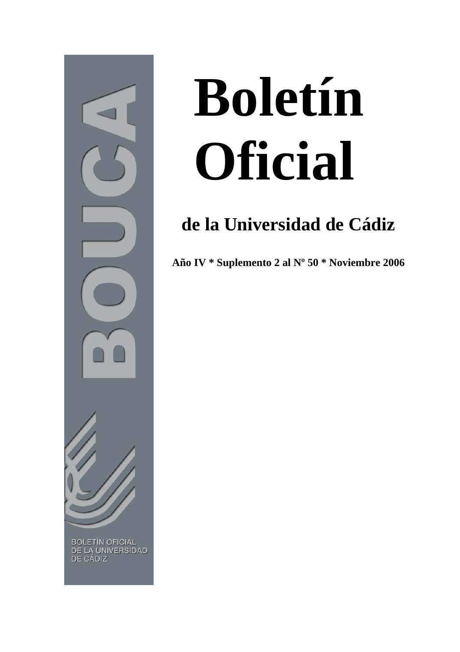

## **Boletín Oficial**

## **de la Universidad de Cádiz**

**Año IV \* Suplemento 2 al Nº 50 \* Noviembre 2006**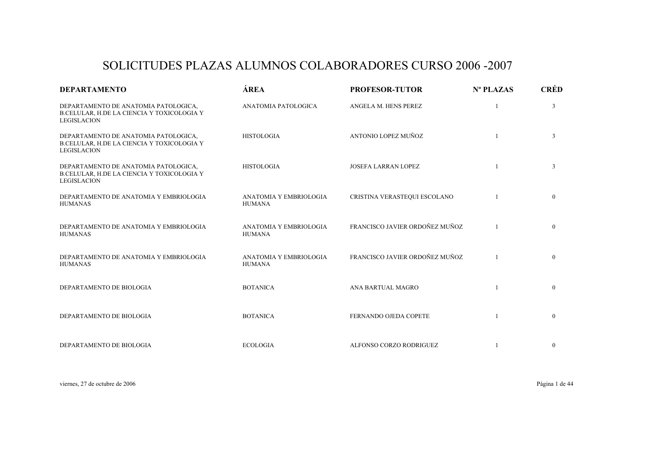## SOLICITUDES PLAZAS ALUMNOS COLABORADORES CURSO 2006 -2007

| <b>DEPARTAMENTO</b>                                                                                      | ÁREA                                    | <b>PROFESOR-TUTOR</b>          | $N^{\circ}$ PLAZAS | <b>CRÉD</b>  |
|----------------------------------------------------------------------------------------------------------|-----------------------------------------|--------------------------------|--------------------|--------------|
| DEPARTAMENTO DE ANATOMIA PATOLOGICA,<br>B.CELULAR, H.DE LA CIENCIA Y TOXICOLOGIA Y<br><b>LEGISLACION</b> | ANATOMIA PATOLOGICA                     | ANGELA M. HENS PEREZ           | $\overline{1}$     | 3            |
| DEPARTAMENTO DE ANATOMIA PATOLOGICA,<br>B.CELULAR, H.DE LA CIENCIA Y TOXICOLOGIA Y<br><b>LEGISLACION</b> | <b>HISTOLOGIA</b>                       | ANTONIO LOPEZ MUÑOZ            | $\overline{1}$     | 3            |
| DEPARTAMENTO DE ANATOMIA PATOLOGICA,<br>B.CELULAR, H.DE LA CIENCIA Y TOXICOLOGIA Y<br><b>LEGISLACION</b> | <b>HISTOLOGIA</b>                       | <b>JOSEFA LARRAN LOPEZ</b>     |                    | 3            |
| DEPARTAMENTO DE ANATOMIA Y EMBRIOLOGIA<br><b>HUMANAS</b>                                                 | ANATOMIA Y EMBRIOLOGIA<br><b>HUMANA</b> | CRISTINA VERASTEQUI ESCOLANO   |                    | $\mathbf{0}$ |
| DEPARTAMENTO DE ANATOMIA Y EMBRIOLOGIA<br><b>HUMANAS</b>                                                 | ANATOMIA Y EMBRIOLOGIA<br><b>HUMANA</b> | FRANCISCO JAVIER ORDOÑEZ MUÑOZ |                    | $\mathbf{0}$ |
| DEPARTAMENTO DE ANATOMIA Y EMBRIOLOGIA<br><b>HUMANAS</b>                                                 | ANATOMIA Y EMBRIOLOGIA<br><b>HUMANA</b> | FRANCISCO JAVIER ORDOÑEZ MUÑOZ |                    | $\mathbf{0}$ |
| DEPARTAMENTO DE BIOLOGIA                                                                                 | <b>BOTANICA</b>                         | ANA BARTUAL MAGRO              |                    | $\mathbf{0}$ |
| DEPARTAMENTO DE BIOLOGIA                                                                                 | <b>BOTANICA</b>                         | FERNANDO OJEDA COPETE          |                    | $\mathbf{0}$ |
| DEPARTAMENTO DE BIOLOGIA                                                                                 | <b>ECOLOGIA</b>                         | ALFONSO CORZO RODRIGUEZ        |                    | $\mathbf{0}$ |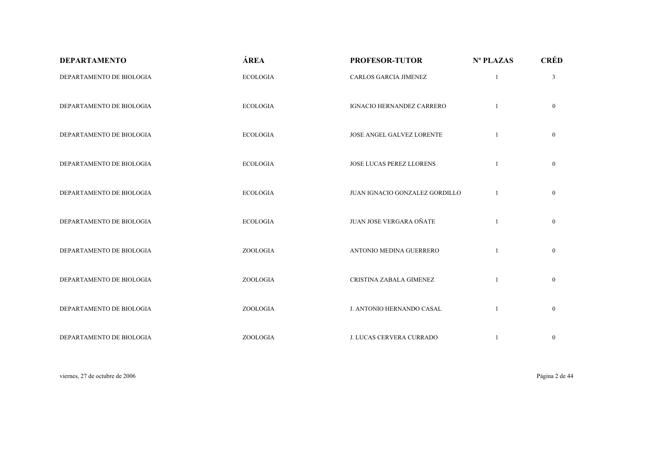| <b>DEPARTAMENTO</b>      | ÁREA            | <b>PROFESOR-TUTOR</b>          | Nº PLAZAS    | <b>CRÉD</b>    |
|--------------------------|-----------------|--------------------------------|--------------|----------------|
| DEPARTAMENTO DE BIOLOGIA | <b>ECOLOGIA</b> | <b>CARLOS GARCIA JIMENEZ</b>   | $\mathbf{1}$ | $\mathfrak{Z}$ |
| DEPARTAMENTO DE BIOLOGIA | <b>ECOLOGIA</b> | IGNACIO HERNANDEZ CARRERO      |              | $\overline{0}$ |
| DEPARTAMENTO DE BIOLOGIA | <b>ECOLOGIA</b> | JOSE ANGEL GALVEZ LORENTE      | $\mathbf{1}$ | $\overline{0}$ |
| DEPARTAMENTO DE BIOLOGIA | <b>ECOLOGIA</b> | JOSE LUCAS PEREZ LLORENS       | $\mathbf{1}$ | $\overline{0}$ |
| DEPARTAMENTO DE BIOLOGIA | <b>ECOLOGIA</b> | JUAN IGNACIO GONZALEZ GORDILLO |              | $\mathbf{0}$   |
| DEPARTAMENTO DE BIOLOGIA | <b>ECOLOGIA</b> | JUAN JOSE VERGARA OÑATE        | 1            | $\overline{0}$ |
| DEPARTAMENTO DE BIOLOGIA | ZOOLOGIA        | ANTONIO MEDINA GUERRERO        | $\mathbf{1}$ | $\overline{0}$ |
| DEPARTAMENTO DE BIOLOGIA | ZOOLOGIA        | CRISTINA ZABALA GIMENEZ        | $\mathbf{1}$ | $\overline{0}$ |
| DEPARTAMENTO DE BIOLOGIA | ZOOLOGIA        | J. ANTONIO HERNANDO CASAL      |              | $\overline{0}$ |
| DEPARTAMENTO DE BIOLOGIA | ZOOLOGIA        | J. LUCAS CERVERA CURRADO       |              | $\mathbf{0}$   |

viernes, 27 de octubre de 2006 Página 2 de 44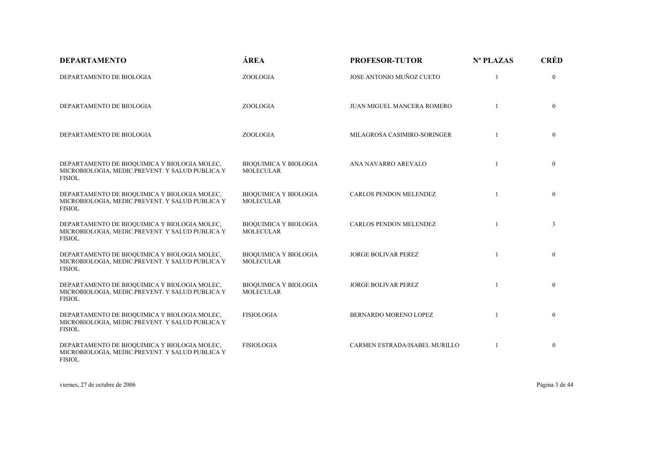| <b>DEPARTAMENTO</b>                                                                                        | ÁREA                                             | <b>PROFESOR-TUTOR</b>         | Nº PLAZAS | <b>CRÉD</b>    |
|------------------------------------------------------------------------------------------------------------|--------------------------------------------------|-------------------------------|-----------|----------------|
| DEPARTAMENTO DE BIOLOGIA                                                                                   | ZOOLOGIA                                         | JOSE ANTONIO MUÑOZ CUETO      |           | $\mathbf{0}$   |
| DEPARTAMENTO DE BIOLOGIA                                                                                   | ZOOLOGIA                                         | JUAN MIGUEL MANCERA ROMERO    |           | $\mathbf{0}$   |
| DEPARTAMENTO DE BIOLOGIA                                                                                   | ZOOLOGIA                                         | MILAGROSA CASIMIRO-SORINGER   |           | $\mathbf{0}$   |
| DEPARTAMENTO DE BIOQUIMICA Y BIOLOGIA MOLEC,<br>MICROBIOLOGIA, MEDIC.PREVENT. Y SALUD PUBLICA Y<br>FISIOL. | <b>BIOQUIMICA Y BIOLOGIA</b><br><b>MOLECULAR</b> | ANA NAVARRO AREVALO           | 1         | $\overline{0}$ |
| DEPARTAMENTO DE BIOQUIMICA Y BIOLOGIA MOLEC,<br>MICROBIOLOGIA, MEDIC.PREVENT. Y SALUD PUBLICA Y<br>FISIOL. | <b>BIOQUIMICA Y BIOLOGIA</b><br><b>MOLECULAR</b> | CARLOS PENDON MELENDEZ        |           | $\mathbf{0}$   |
| DEPARTAMENTO DE BIOQUIMICA Y BIOLOGIA MOLEC,<br>MICROBIOLOGIA, MEDIC.PREVENT. Y SALUD PUBLICA Y<br>FISIOL. | <b>BIOQUIMICA Y BIOLOGIA</b><br><b>MOLECULAR</b> | <b>CARLOS PENDON MELENDEZ</b> |           | $\mathfrak{Z}$ |
| DEPARTAMENTO DE BIOQUIMICA Y BIOLOGIA MOLEC,<br>MICROBIOLOGIA, MEDIC.PREVENT. Y SALUD PUBLICA Y<br>FISIOL. | <b>BIOQUIMICA Y BIOLOGIA</b><br><b>MOLECULAR</b> | JORGE BOLIVAR PEREZ           |           | $\mathbf{0}$   |
| DEPARTAMENTO DE BIOQUIMICA Y BIOLOGIA MOLEC,<br>MICROBIOLOGIA, MEDIC.PREVENT. Y SALUD PUBLICA Y<br>FISIOL. | <b>BIOQUIMICA Y BIOLOGIA</b><br><b>MOLECULAR</b> | JORGE BOLIVAR PEREZ           | -1        | $\mathbf{0}$   |
| DEPARTAMENTO DE BIOQUIMICA Y BIOLOGIA MOLEC,<br>MICROBIOLOGIA, MEDIC.PREVENT. Y SALUD PUBLICA Y<br>FISIOL. | <b>FISIOLOGIA</b>                                | BERNARDO MORENO LOPEZ         |           | $\mathbf{0}$   |
| DEPARTAMENTO DE BIOQUIMICA Y BIOLOGIA MOLEC,<br>MICROBIOLOGIA, MEDIC.PREVENT. Y SALUD PUBLICA Y<br>FISIOL. | <b>FISIOLOGIA</b>                                | CARMEN ESTRADA/ISABEL MURILLO |           | $\mathbf{0}$   |

viernes, 27 de octubre de 2006 Página 3 de 44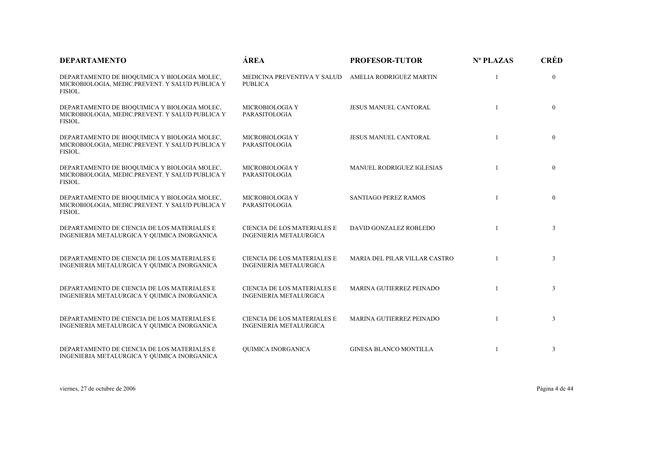| <b>DEPARTAMENTO</b>                                                                                        | ÁREA                                                         | <b>PROFESOR-TUTOR</b>         | Nº PLAZAS      | <b>CRÉD</b>    |
|------------------------------------------------------------------------------------------------------------|--------------------------------------------------------------|-------------------------------|----------------|----------------|
| DEPARTAMENTO DE BIOQUIMICA Y BIOLOGIA MOLEC,<br>MICROBIOLOGIA, MEDIC.PREVENT. Y SALUD PUBLICA Y<br>FISIOL. | MEDICINA PREVENTIVA Y SALUD<br><b>PUBLICA</b>                | AMELIA RODRIGUEZ MARTIN       |                | $\mathbf{0}$   |
| DEPARTAMENTO DE BIOQUIMICA Y BIOLOGIA MOLEC,<br>MICROBIOLOGIA, MEDIC.PREVENT. Y SALUD PUBLICA Y<br>FISIOL. | MICROBIOLOGIA Y<br>PARASITOLOGIA                             | <b>JESUS MANUEL CANTORAL</b>  |                | $\mathbf{0}$   |
| DEPARTAMENTO DE BIOQUIMICA Y BIOLOGIA MOLEC,<br>MICROBIOLOGIA, MEDIC.PREVENT. Y SALUD PUBLICA Y<br>FISIOL. | MICROBIOLOGIA Y<br>PARASITOLOGIA                             | <b>JESUS MANUEL CANTORAL</b>  |                | $\mathbf{0}$   |
| DEPARTAMENTO DE BIOQUIMICA Y BIOLOGIA MOLEC,<br>MICROBIOLOGIA, MEDIC.PREVENT. Y SALUD PUBLICA Y<br>FISIOL. | MICROBIOLOGIA Y<br>PARASITOLOGIA                             | MANUEL RODRIGUEZ IGLESIAS     |                | $\mathbf{0}$   |
| DEPARTAMENTO DE BIOQUIMICA Y BIOLOGIA MOLEC,<br>MICROBIOLOGIA, MEDIC.PREVENT. Y SALUD PUBLICA Y<br>FISIOL. | MICROBIOLOGIA Y<br>PARASITOLOGIA                             | SANTIAGO PEREZ RAMOS          | $\overline{1}$ | $\mathbf{0}$   |
| DEPARTAMENTO DE CIENCIA DE LOS MATERIALES E<br>INGENIERIA METALURGICA Y QUIMICA INORGANICA                 | CIENCIA DE LOS MATERIALES E<br><b>INGENIERIA METALURGICA</b> | DAVID GONZALEZ ROBLEDO        |                | 3              |
| DEPARTAMENTO DE CIENCIA DE LOS MATERIALES E<br>INGENIERIA METALURGICA Y QUIMICA INORGANICA                 | <b>CIENCIA DE LOS MATERIALES E</b><br>INGENIERIA METALURGICA | MARIA DEL PILAR VILLAR CASTRO |                | $\overline{3}$ |
| DEPARTAMENTO DE CIENCIA DE LOS MATERIALES E<br>INGENIERIA METALURGICA Y QUIMICA INORGANICA                 | CIENCIA DE LOS MATERIALES E<br><b>INGENIERIA METALURGICA</b> | MARINA GUTIERREZ PEINADO      |                | 3              |
| DEPARTAMENTO DE CIENCIA DE LOS MATERIALES E<br>INGENIERIA METALURGICA Y QUIMICA INORGANICA                 | CIENCIA DE LOS MATERIALES E<br><b>INGENIERIA METALURGICA</b> | MARINA GUTIERREZ PEINADO      | $\mathbf{1}$   | 3              |
| DEPARTAMENTO DE CIENCIA DE LOS MATERIALES E<br>INGENIERIA METALURGICA Y QUIMICA INORGANICA                 | QUIMICA INORGANICA                                           | <b>GINESA BLANCO MONTILLA</b> |                | 3              |

viernes, 27 de octubre de 2006 Página 4 de 44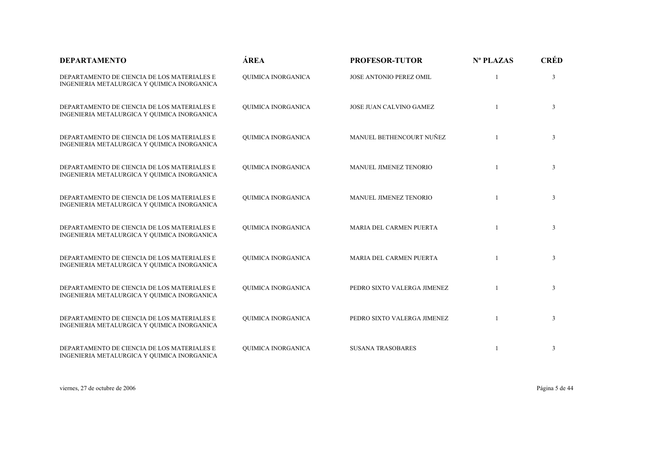| <b>DEPARTAMENTO</b>                                                                        | ÁREA                      | <b>PROFESOR-TUTOR</b>       | Nº PLAZAS    | <b>CRÉD</b>    |
|--------------------------------------------------------------------------------------------|---------------------------|-----------------------------|--------------|----------------|
| DEPARTAMENTO DE CIENCIA DE LOS MATERIALES E<br>INGENIERIA METALURGICA Y QUIMICA INORGANICA | QUIMICA INORGANICA        | JOSE ANTONIO PEREZ OMIL     |              | 3              |
| DEPARTAMENTO DE CIENCIA DE LOS MATERIALES E<br>INGENIERIA METALURGICA Y QUIMICA INORGANICA | <b>OUIMICA INORGANICA</b> | JOSE JUAN CALVINO GAMEZ     | 1            | 3              |
| DEPARTAMENTO DE CIENCIA DE LOS MATERIALES E<br>INGENIERIA METALURGICA Y QUIMICA INORGANICA | QUIMICA INORGANICA        | MANUEL BETHENCOURT NUÑEZ    | $\mathbf{1}$ | 3              |
| DEPARTAMENTO DE CIENCIA DE LOS MATERIALES E<br>INGENIERIA METALURGICA Y QUIMICA INORGANICA | QUIMICA INORGANICA        | MANUEL JIMENEZ TENORIO      |              | 3              |
| DEPARTAMENTO DE CIENCIA DE LOS MATERIALES E<br>INGENIERIA METALURGICA Y QUIMICA INORGANICA | QUIMICA INORGANICA        | MANUEL JIMENEZ TENORIO      |              | 3              |
| DEPARTAMENTO DE CIENCIA DE LOS MATERIALES E<br>INGENIERIA METALURGICA Y QUIMICA INORGANICA | <b>OUIMICA INORGANICA</b> | MARIA DEL CARMEN PUERTA     |              | 3              |
| DEPARTAMENTO DE CIENCIA DE LOS MATERIALES E<br>INGENIERIA METALURGICA Y QUIMICA INORGANICA | QUIMICA INORGANICA        | MARIA DEL CARMEN PUERTA     |              | 3              |
| DEPARTAMENTO DE CIENCIA DE LOS MATERIALES E<br>INGENIERIA METALURGICA Y QUIMICA INORGANICA | QUIMICA INORGANICA        | PEDRO SIXTO VALERGA JIMENEZ |              | $\mathfrak{Z}$ |
| DEPARTAMENTO DE CIENCIA DE LOS MATERIALES E<br>INGENIERIA METALURGICA Y QUIMICA INORGANICA | <b>OUIMICA INORGANICA</b> | PEDRO SIXTO VALERGA JIMENEZ | $\mathbf{1}$ | 3              |
| DEPARTAMENTO DE CIENCIA DE LOS MATERIALES E<br>INGENIERIA METALURGICA Y QUIMICA INORGANICA | <b>OUIMICA INORGANICA</b> | <b>SUSANA TRASOBARES</b>    | 1            | 3              |

viernes, 27 de octubre de 2006 Página 5 de 44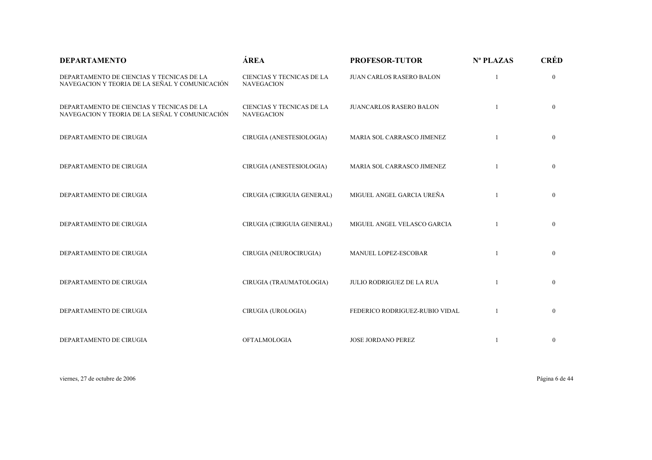| <b>DEPARTAMENTO</b>                                                                         | ÁREA                                           | <b>PROFESOR-TUTOR</b>            | Nº PLAZAS | <b>CRÉD</b>    |
|---------------------------------------------------------------------------------------------|------------------------------------------------|----------------------------------|-----------|----------------|
| DEPARTAMENTO DE CIENCIAS Y TECNICAS DE LA<br>NAVEGACION Y TEORIA DE LA SEÑAL Y COMUNICACIÓN | CIENCIAS Y TECNICAS DE LA<br><b>NAVEGACION</b> | <b>JUAN CARLOS RASERO BALON</b>  |           | $\overline{0}$ |
| DEPARTAMENTO DE CIENCIAS Y TECNICAS DE LA<br>NAVEGACION Y TEORIA DE LA SEÑAL Y COMUNICACIÓN | CIENCIAS Y TECNICAS DE LA<br><b>NAVEGACION</b> | <b>JUANCARLOS RASERO BALON</b>   |           | $\overline{0}$ |
| DEPARTAMENTO DE CIRUGIA                                                                     | CIRUGIA (ANESTESIOLOGIA)                       | MARIA SOL CARRASCO JIMENEZ       |           | $\mathbf{0}$   |
| DEPARTAMENTO DE CIRUGIA                                                                     | CIRUGIA (ANESTESIOLOGIA)                       | MARIA SOL CARRASCO JIMENEZ       |           | $\overline{0}$ |
| DEPARTAMENTO DE CIRUGIA                                                                     | CIRUGIA (CIRIGUIA GENERAL)                     | MIGUEL ANGEL GARCIA UREÑA        |           | $\overline{0}$ |
| DEPARTAMENTO DE CIRUGIA                                                                     | CIRUGIA (CIRIGUIA GENERAL)                     | MIGUEL ANGEL VELASCO GARCIA      |           | $\mathbf{0}$   |
| DEPARTAMENTO DE CIRUGIA                                                                     | CIRUGIA (NEUROCIRUGIA)                         | MANUEL LOPEZ-ESCOBAR             |           | $\overline{0}$ |
| DEPARTAMENTO DE CIRUGIA                                                                     | CIRUGIA (TRAUMATOLOGIA)                        | <b>JULIO RODRIGUEZ DE LA RUA</b> |           | $\mathbf{0}$   |
| DEPARTAMENTO DE CIRUGIA                                                                     | CIRUGIA (UROLOGIA)                             | FEDERICO RODRIGUEZ-RUBIO VIDAL   |           | $\mathbf{0}$   |
| DEPARTAMENTO DE CIRUGIA                                                                     | <b>OFTALMOLOGIA</b>                            | JOSE JORDANO PEREZ               |           | $\bf{0}$       |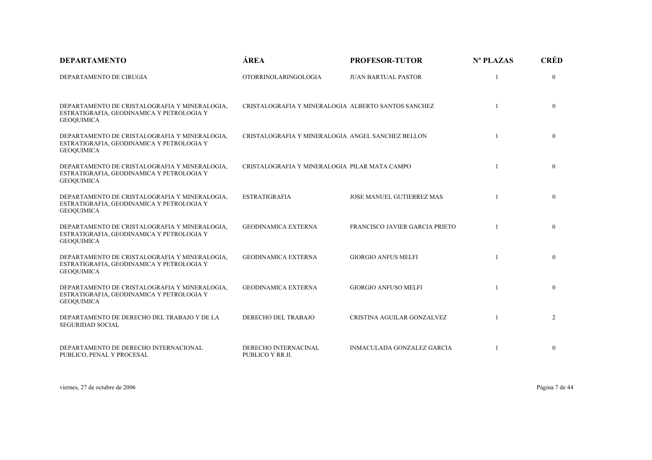| <b>DEPARTAMENTO</b>                                                                                             | ÁREA                                                | <b>PROFESOR-TUTOR</b>            | Nº PLAZAS | <b>CRÉD</b>    |
|-----------------------------------------------------------------------------------------------------------------|-----------------------------------------------------|----------------------------------|-----------|----------------|
| DEPARTAMENTO DE CIRUGIA                                                                                         | <b>OTORRINOLARINGOLOGIA</b>                         | <b>JUAN BARTUAL PASTOR</b>       |           | $\mathbf{0}$   |
| DEPARTAMENTO DE CRISTALOGRAFIA Y MINERALOGIA,<br>ESTRATIGRAFIA, GEODINAMICA Y PETROLOGIA Y<br><b>GEOQUIMICA</b> | CRISTALOGRAFIA Y MINERALOGIA ALBERTO SANTOS SANCHEZ |                                  |           | $\mathbf{0}$   |
| DEPARTAMENTO DE CRISTALOGRAFIA Y MINERALOGIA,<br>ESTRATIGRAFIA, GEODINAMICA Y PETROLOGIA Y<br><b>GEOQUIMICA</b> | CRISTALOGRAFIA Y MINERALOGIA ANGEL SANCHEZ BELLON   |                                  |           | $\mathbf{0}$   |
| DEPARTAMENTO DE CRISTALOGRAFIA Y MINERALOGIA,<br>ESTRATIGRAFIA, GEODINAMICA Y PETROLOGIA Y<br><b>GEOQUIMICA</b> | CRISTALOGRAFIA Y MINERALOGIA PILAR MATA CAMPO       |                                  |           | $\mathbf{0}$   |
| DEPARTAMENTO DE CRISTALOGRAFIA Y MINERALOGIA,<br>ESTRATIGRAFIA, GEODINAMICA Y PETROLOGIA Y<br><b>GEOQUIMICA</b> | <b>ESTRATIGRAFIA</b>                                | <b>JOSE MANUEL GUTIERREZ MAS</b> |           | $\mathbf{0}$   |
| DEPARTAMENTO DE CRISTALOGRAFIA Y MINERALOGIA,<br>ESTRATIGRAFIA, GEODINAMICA Y PETROLOGIA Y<br><b>GEOQUIMICA</b> | <b>GEODINAMICA EXTERNA</b>                          | FRANCISCO JAVIER GARCIA PRIETO   |           | $\mathbf{0}$   |
| DEPARTAMENTO DE CRISTALOGRAFIA Y MINERALOGIA,<br>ESTRATIGRAFIA, GEODINAMICA Y PETROLOGIA Y<br><b>GEOQUIMICA</b> | <b>GEODINAMICA EXTERNA</b>                          | <b>GIORGIO ANFUS MELFI</b>       |           | $\mathbf{0}$   |
| DEPARTAMENTO DE CRISTALOGRAFIA Y MINERALOGIA,<br>ESTRATIGRAFIA, GEODINAMICA Y PETROLOGIA Y<br><b>GEOQUIMICA</b> | <b>GEODINAMICA EXTERNA</b>                          | <b>GIORGIO ANFUSO MELFI</b>      |           | $\mathbf{0}$   |
| DEPARTAMENTO DE DERECHO DEL TRABAJO Y DE LA<br><b>SEGURIDAD SOCIAL</b>                                          | DERECHO DEL TRABAJO                                 | CRISTINA AGUILAR GONZALVEZ       |           | $\overline{2}$ |
| DEPARTAMENTO DE DERECHO INTERNACIONAL<br>PUBLICO, PENAL Y PROCESAL                                              | DERECHO INTERNACINAL<br>PUBLICO Y RR.II.            | INMACULADA GONZALEZ GARCIA       |           | $\bf{0}$       |

viernes, 27 de octubre de 2006 Página 7 de 44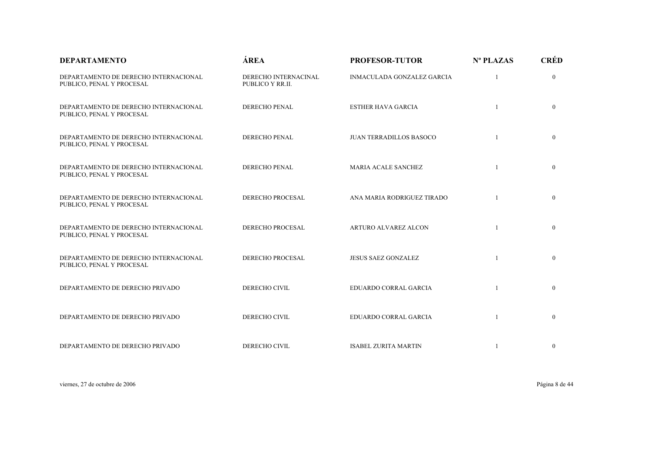| <b>DEPARTAMENTO</b>                                                | ÁREA                                     | <b>PROFESOR-TUTOR</b>             | Nº PLAZAS    | <b>CRÉD</b>    |
|--------------------------------------------------------------------|------------------------------------------|-----------------------------------|--------------|----------------|
| DEPARTAMENTO DE DERECHO INTERNACIONAL<br>PUBLICO, PENAL Y PROCESAL | DERECHO INTERNACINAL<br>PUBLICO Y RR.II. | <b>INMACULADA GONZALEZ GARCIA</b> |              | $\mathbf{0}$   |
| DEPARTAMENTO DE DERECHO INTERNACIONAL<br>PUBLICO, PENAL Y PROCESAL | DERECHO PENAL                            | <b>ESTHER HAVA GARCIA</b>         | $\mathbf{1}$ | $\overline{0}$ |
| DEPARTAMENTO DE DERECHO INTERNACIONAL<br>PUBLICO, PENAL Y PROCESAL | DERECHO PENAL                            | <b>JUAN TERRADILLOS BASOCO</b>    |              | $\mathbf{0}$   |
| DEPARTAMENTO DE DERECHO INTERNACIONAL<br>PUBLICO, PENAL Y PROCESAL | DERECHO PENAL                            | <b>MARIA ACALE SANCHEZ</b>        | $\mathbf{1}$ | $\mathbf{0}$   |
| DEPARTAMENTO DE DERECHO INTERNACIONAL<br>PUBLICO, PENAL Y PROCESAL | <b>DERECHO PROCESAL</b>                  | ANA MARIA RODRIGUEZ TIRADO        |              | $\mathbf{0}$   |
| DEPARTAMENTO DE DERECHO INTERNACIONAL<br>PUBLICO, PENAL Y PROCESAL | DERECHO PROCESAL                         | ARTURO ALVAREZ ALCON              |              | $\mathbf{0}$   |
| DEPARTAMENTO DE DERECHO INTERNACIONAL<br>PUBLICO, PENAL Y PROCESAL | DERECHO PROCESAL                         | <b>JESUS SAEZ GONZALEZ</b>        |              | $\mathbf{0}$   |
| DEPARTAMENTO DE DERECHO PRIVADO                                    | DERECHO CIVIL                            | <b>EDUARDO CORRAL GARCIA</b>      |              | $\mathbf{0}$   |
| DEPARTAMENTO DE DERECHO PRIVADO                                    | DERECHO CIVIL                            | EDUARDO CORRAL GARCIA             |              | $\mathbf{0}$   |
| DEPARTAMENTO DE DERECHO PRIVADO                                    | DERECHO CIVIL                            | <b>ISABEL ZURITA MARTIN</b>       |              | $\mathbf{0}$   |

viernes, 27 de octubre de 2006 Página 8 de 44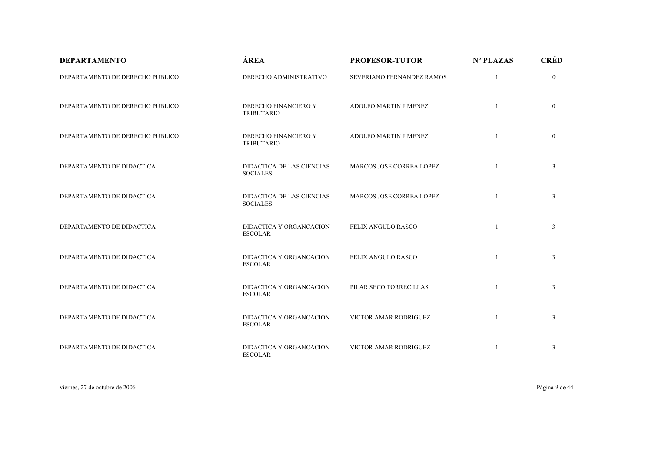| <b>DEPARTAMENTO</b>             | ÁREA                                         | <b>PROFESOR-TUTOR</b>        | Nº PLAZAS    | <b>CRÉD</b>    |
|---------------------------------|----------------------------------------------|------------------------------|--------------|----------------|
| DEPARTAMENTO DE DERECHO PUBLICO | DERECHO ADMINISTRATIVO                       | SEVERIANO FERNANDEZ RAMOS    |              | $\overline{0}$ |
| DEPARTAMENTO DE DERECHO PUBLICO | DERECHO FINANCIERO Y<br><b>TRIBUTARIO</b>    | <b>ADOLFO MARTIN JIMENEZ</b> | 1            | $\mathbf{0}$   |
| DEPARTAMENTO DE DERECHO PUBLICO | DERECHO FINANCIERO Y<br><b>TRIBUTARIO</b>    | ADOLFO MARTIN JIMENEZ        | $\mathbf{1}$ | $\overline{0}$ |
| DEPARTAMENTO DE DIDACTICA       | DIDACTICA DE LAS CIENCIAS<br><b>SOCIALES</b> | MARCOS JOSE CORREA LOPEZ     |              | $\mathfrak{Z}$ |
| DEPARTAMENTO DE DIDACTICA       | DIDACTICA DE LAS CIENCIAS<br><b>SOCIALES</b> | MARCOS JOSE CORREA LOPEZ     |              | $\mathfrak{Z}$ |
| DEPARTAMENTO DE DIDACTICA       | DIDACTICA Y ORGANCACION<br><b>ESCOLAR</b>    | FELIX ANGULO RASCO           | 1            | 3              |
| DEPARTAMENTO DE DIDACTICA       | DIDACTICA Y ORGANCACION<br><b>ESCOLAR</b>    | FELIX ANGULO RASCO           | $\mathbf{1}$ | $\mathfrak{Z}$ |
| DEPARTAMENTO DE DIDACTICA       | DIDACTICA Y ORGANCACION<br><b>ESCOLAR</b>    | PILAR SECO TORRECILLAS       |              | $\mathfrak{Z}$ |
| DEPARTAMENTO DE DIDACTICA       | DIDACTICA Y ORGANCACION<br><b>ESCOLAR</b>    | VICTOR AMAR RODRIGUEZ        | 1            | $\mathfrak{Z}$ |
| DEPARTAMENTO DE DIDACTICA       | DIDACTICA Y ORGANCACION<br><b>ESCOLAR</b>    | VICTOR AMAR RODRIGUEZ        | 1            | 3              |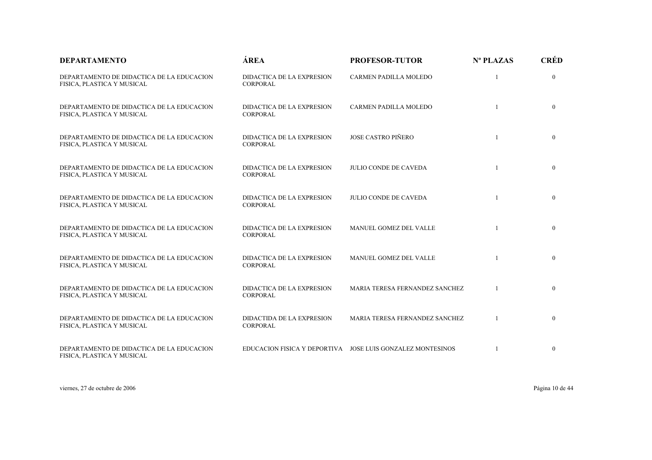| <b>DEPARTAMENTO</b>                                                     | <b>ÁREA</b>                                  | <b>PROFESOR-TUTOR</b>                                      | Nº PLAZAS | <b>CRÉD</b>    |
|-------------------------------------------------------------------------|----------------------------------------------|------------------------------------------------------------|-----------|----------------|
| DEPARTAMENTO DE DIDACTICA DE LA EDUCACION<br>FISICA, PLASTICA Y MUSICAL | DIDACTICA DE LA EXPRESION<br><b>CORPORAL</b> | CARMEN PADILLA MOLEDO                                      |           | $\overline{0}$ |
| DEPARTAMENTO DE DIDACTICA DE LA EDUCACION<br>FISICA, PLASTICA Y MUSICAL | DIDACTICA DE LA EXPRESION<br><b>CORPORAL</b> | CARMEN PADILLA MOLEDO                                      |           | $\overline{0}$ |
| DEPARTAMENTO DE DIDACTICA DE LA EDUCACIÓN<br>FISICA, PLASTICA Y MUSICAL | DIDACTICA DE LA EXPRESION<br><b>CORPORAL</b> | <b>JOSE CASTRO PIÑERO</b>                                  | 1         | $\overline{0}$ |
| DEPARTAMENTO DE DIDACTICA DE LA EDUCACION<br>FISICA, PLASTICA Y MUSICAL | DIDACTICA DE LA EXPRESION<br><b>CORPORAL</b> | <b>JULIO CONDE DE CAVEDA</b>                               |           | $\overline{0}$ |
| DEPARTAMENTO DE DIDACTICA DE LA EDUCACION<br>FISICA, PLASTICA Y MUSICAL | DIDACTICA DE LA EXPRESION<br><b>CORPORAL</b> | <b>JULIO CONDE DE CAVEDA</b>                               |           | $\overline{0}$ |
| DEPARTAMENTO DE DIDACTICA DE LA EDUCACION<br>FISICA, PLASTICA Y MUSICAL | DIDACTICA DE LA EXPRESION<br><b>CORPORAL</b> | MANUEL GOMEZ DEL VALLE                                     |           | $\theta$       |
| DEPARTAMENTO DE DIDACTICA DE LA EDUCACION<br>FISICA, PLASTICA Y MUSICAL | DIDACTICA DE LA EXPRESION<br><b>CORPORAL</b> | MANUEL GOMEZ DEL VALLE                                     |           | $\mathbf{0}$   |
| DEPARTAMENTO DE DIDACTICA DE LA EDUCACION<br>FISICA, PLASTICA Y MUSICAL | DIDACTICA DE LA EXPRESION<br><b>CORPORAL</b> | MARIA TERESA FERNANDEZ SANCHEZ                             | -1        | $\theta$       |
| DEPARTAMENTO DE DIDACTICA DE LA EDUCACION<br>FISICA, PLASTICA Y MUSICAL | DIDACTIDA DE LA EXPRESION<br><b>CORPORAL</b> | MARIA TERESA FERNANDEZ SANCHEZ                             |           | $\mathbf{0}$   |
| DEPARTAMENTO DE DIDACTICA DE LA EDUCACION<br>FISICA, PLASTICA Y MUSICAL |                                              | EDUCACION FISICA Y DEPORTIVA JOSE LUIS GONZALEZ MONTESINOS |           | $\mathbf{0}$   |

viernes, 27 de octubre de 2006 Página 10 de 44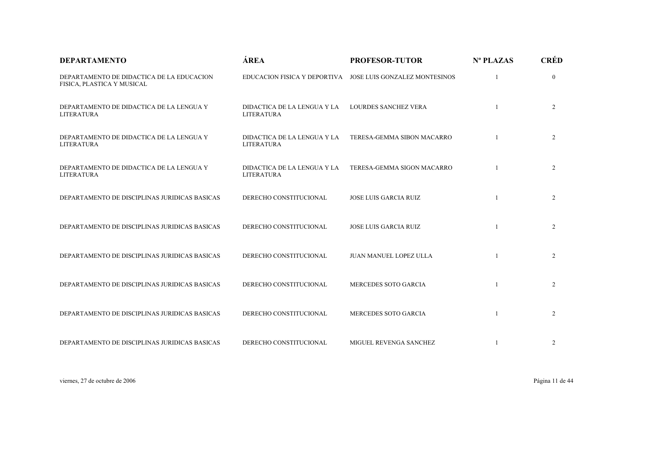| <b>DEPARTAMENTO</b>                                                     | ÁREA                                             | <b>PROFESOR-TUTOR</b>                                      | Nº PLAZAS    | <b>CRÉD</b>    |
|-------------------------------------------------------------------------|--------------------------------------------------|------------------------------------------------------------|--------------|----------------|
| DEPARTAMENTO DE DIDACTICA DE LA EDUCACION<br>FISICA, PLASTICA Y MUSICAL |                                                  | EDUCACION FISICA Y DEPORTIVA JOSE LUIS GONZALEZ MONTESINOS |              | $\mathbf{0}$   |
| DEPARTAMENTO DE DIDACTICA DE LA LENGUA Y<br><b>LITERATURA</b>           | DIDACTICA DE LA LENGUA Y LA<br><b>LITERATURA</b> | <b>LOURDES SANCHEZ VERA</b>                                |              | $\overline{2}$ |
| DEPARTAMENTO DE DIDACTICA DE LA LENGUA Y<br><b>LITERATURA</b>           | DIDACTICA DE LA LENGUA Y LA<br><b>LITERATURA</b> | TERESA-GEMMA SIBON MACARRO                                 |              | $\overline{2}$ |
| DEPARTAMENTO DE DIDACTICA DE LA LENGUA Y<br><b>LITERATURA</b>           | DIDACTICA DE LA LENGUA Y LA<br><b>LITERATURA</b> | TERESA-GEMMA SIGON MACARRO                                 |              | $\overline{2}$ |
| DEPARTAMENTO DE DISCIPLINAS JURIDICAS BASICAS                           | DERECHO CONSTITUCIONAL                           | <b>JOSE LUIS GARCIA RUIZ</b>                               | $\mathbf{1}$ | $\overline{2}$ |
| DEPARTAMENTO DE DISCIPLINAS JURIDICAS BASICAS                           | DERECHO CONSTITUCIONAL                           | <b>JOSE LUIS GARCIA RUIZ</b>                               |              | $\overline{2}$ |
| DEPARTAMENTO DE DISCIPLINAS JURIDICAS BASICAS                           | DERECHO CONSTITUCIONAL                           | <b>JUAN MANUEL LOPEZ ULLA</b>                              |              | $\overline{2}$ |
| DEPARTAMENTO DE DISCIPLINAS JURIDICAS BASICAS                           | DERECHO CONSTITUCIONAL                           | MERCEDES SOTO GARCIA                                       |              | $\overline{2}$ |
| DEPARTAMENTO DE DISCIPLINAS JURIDICAS BASICAS                           | DERECHO CONSTITUCIONAL                           | MERCEDES SOTO GARCIA                                       | $\mathbf{1}$ | $\overline{2}$ |
| DEPARTAMENTO DE DISCIPLINAS JURIDICAS BASICAS                           | DERECHO CONSTITUCIONAL                           | MIGUEL REVENGA SANCHEZ                                     |              | 2              |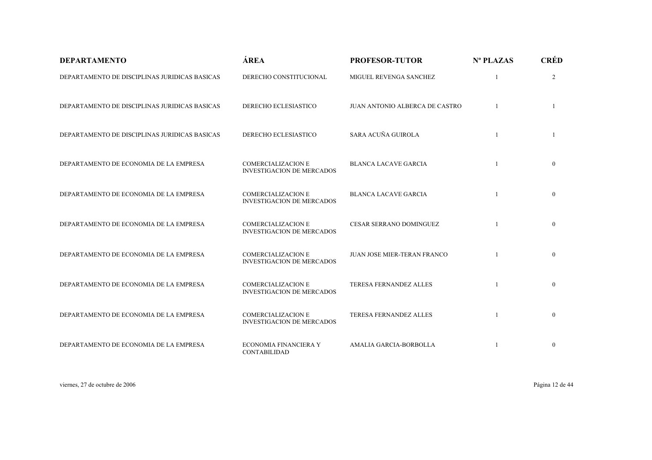| <b>DEPARTAMENTO</b>                           | ÁREA                                                          | <b>PROFESOR-TUTOR</b>              | Nº PLAZAS | <b>CRÉD</b>    |
|-----------------------------------------------|---------------------------------------------------------------|------------------------------------|-----------|----------------|
| DEPARTAMENTO DE DISCIPLINAS JURIDICAS BASICAS | DERECHO CONSTITUCIONAL                                        | MIGUEL REVENGA SANCHEZ             |           | $\overline{2}$ |
| DEPARTAMENTO DE DISCIPLINAS JURIDICAS BASICAS | <b>DERECHO ECLESIASTICO</b>                                   | JUAN ANTONIO ALBERCA DE CASTRO     |           | 1              |
| DEPARTAMENTO DE DISCIPLINAS JURIDICAS BASICAS | DERECHO ECLESIASTICO                                          | SARA ACUÑA GUIROLA                 |           |                |
| DEPARTAMENTO DE ECONOMIA DE LA EMPRESA        | <b>COMERCIALIZACION E</b><br><b>INVESTIGACION DE MERCADOS</b> | <b>BLANCA LACAVE GARCIA</b>        |           | $\overline{0}$ |
| DEPARTAMENTO DE ECONOMIA DE LA EMPRESA        | <b>COMERCIALIZACION E</b><br><b>INVESTIGACION DE MERCADOS</b> | <b>BLANCA LACAVE GARCIA</b>        |           | $\mathbf{0}$   |
| DEPARTAMENTO DE ECONOMIA DE LA EMPRESA        | <b>COMERCIALIZACION E</b><br><b>INVESTIGACION DE MERCADOS</b> | <b>CESAR SERRANO DOMINGUEZ</b>     |           | $\overline{0}$ |
| DEPARTAMENTO DE ECONOMIA DE LA EMPRESA        | <b>COMERCIALIZACION E</b><br><b>INVESTIGACION DE MERCADOS</b> | <b>JUAN JOSE MIER-TERAN FRANCO</b> |           | $\overline{0}$ |
| DEPARTAMENTO DE ECONOMIA DE LA EMPRESA        | <b>COMERCIALIZACION E</b><br><b>INVESTIGACION DE MERCADOS</b> | TERESA FERNANDEZ ALLES             |           | $\mathbf{0}$   |
| DEPARTAMENTO DE ECONOMIA DE LA EMPRESA        | <b>COMERCIALIZACION E</b><br><b>INVESTIGACION DE MERCADOS</b> | <b>TERESA FERNANDEZ ALLES</b>      |           | $\overline{0}$ |
| DEPARTAMENTO DE ECONOMIA DE LA EMPRESA        | ECONOMIA FINANCIERA Y<br>CONTABILIDAD                         | <b>AMALIA GARCIA-BORBOLLA</b>      |           | $\overline{0}$ |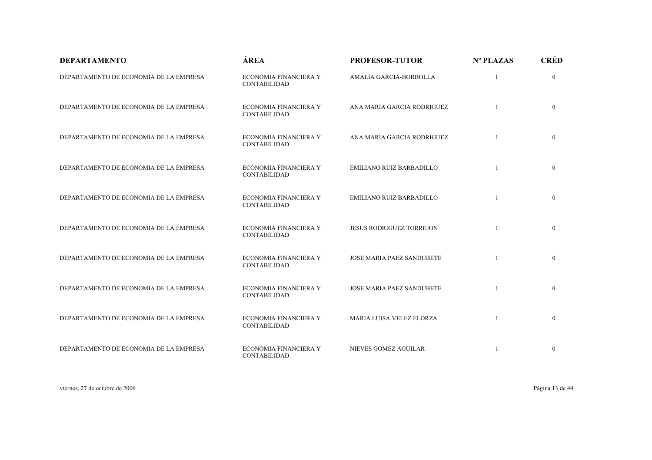| <b>DEPARTAMENTO</b>                    | ÁREA                                         | <b>PROFESOR-TUTOR</b>            | Nº PLAZAS    | <b>CRÉD</b>  |
|----------------------------------------|----------------------------------------------|----------------------------------|--------------|--------------|
| DEPARTAMENTO DE ECONOMIA DE LA EMPRESA | ECONOMIA FINANCIERA Y<br>CONTABILIDAD        | AMALIA GARCIA-BORBOLLA           | 1            | $\mathbf{0}$ |
| DEPARTAMENTO DE ECONOMIA DE LA EMPRESA | ECONOMIA FINANCIERA Y<br><b>CONTABILIDAD</b> | ANA MARIA GARCIA RODRIGUEZ       |              | $\mathbf{0}$ |
| DEPARTAMENTO DE ECONOMIA DE LA EMPRESA | ECONOMIA FINANCIERA Y<br><b>CONTABILIDAD</b> | ANA MARIA GARCIA RODRIGUEZ       |              | $\mathbf{0}$ |
| DEPARTAMENTO DE ECONOMIA DE LA EMPRESA | ECONOMIA FINANCIERA Y<br><b>CONTABILIDAD</b> | <b>EMILIANO RUIZ BARBADILLO</b>  |              | $\mathbf{0}$ |
| DEPARTAMENTO DE ECONOMIA DE LA EMPRESA | ECONOMIA FINANCIERA Y<br>CONTABILIDAD        | <b>EMILIANO RUIZ BARBADILLO</b>  | $\mathbf{1}$ | $\mathbf{0}$ |
| DEPARTAMENTO DE ECONOMIA DE LA EMPRESA | ECONOMIA FINANCIERA Y<br>CONTABILIDAD        | <b>JESUS RODRIGUEZ TORREJON</b>  |              | $\mathbf{0}$ |
| DEPARTAMENTO DE ECONOMIA DE LA EMPRESA | ECONOMIA FINANCIERA Y<br><b>CONTABILIDAD</b> | <b>JOSE MARIA PAEZ SANDUBETE</b> |              | $\mathbf{0}$ |
| DEPARTAMENTO DE ECONOMIA DE LA EMPRESA | ECONOMIA FINANCIERA Y<br><b>CONTABILIDAD</b> | JOSE MARIA PAEZ SANDUBETE        |              | $\bf{0}$     |
| DEPARTAMENTO DE ECONOMIA DE LA EMPRESA | ECONOMIA FINANCIERA Y<br><b>CONTABILIDAD</b> | MARIA LUISA VELEZ ELORZA         |              | $\Omega$     |
| DEPARTAMENTO DE ECONOMIA DE LA EMPRESA | <b>ECONOMIA FINANCIERA Y</b><br>CONTABILIDAD | NIEVES GOMEZ AGUILAR             | 1            | $\mathbf{0}$ |

viernes, 27 de octubre de 2006 Página 13 de 44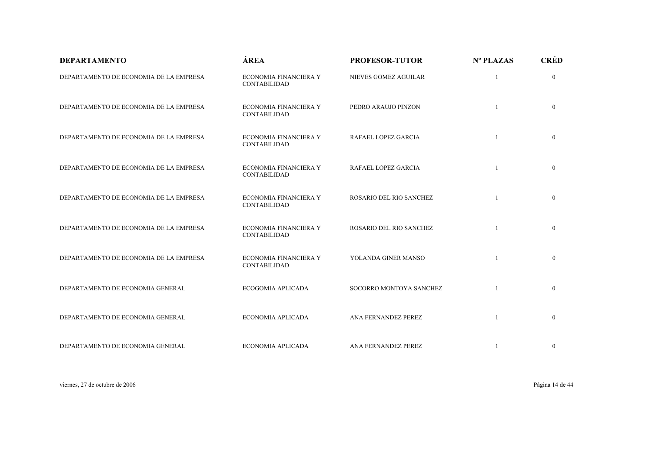| <b>DEPARTAMENTO</b>                    | ÁREA                                         | <b>PROFESOR-TUTOR</b>   | Nº PLAZAS | <b>CRÉD</b>    |
|----------------------------------------|----------------------------------------------|-------------------------|-----------|----------------|
| DEPARTAMENTO DE ECONOMIA DE LA EMPRESA | ECONOMIA FINANCIERA Y<br>CONTABILIDAD        | NIEVES GOMEZ AGUILAR    |           | $\overline{0}$ |
| DEPARTAMENTO DE ECONOMIA DE LA EMPRESA | ECONOMIA FINANCIERA Y<br><b>CONTABILIDAD</b> | PEDRO ARAUJO PINZON     |           | $\mathbf{0}$   |
| DEPARTAMENTO DE ECONOMIA DE LA EMPRESA | ECONOMIA FINANCIERA Y<br>CONTABILIDAD        | RAFAEL LOPEZ GARCIA     | 1         | $\overline{0}$ |
| DEPARTAMENTO DE ECONOMIA DE LA EMPRESA | ECONOMIA FINANCIERA Y<br>CONTABILIDAD        | RAFAEL LOPEZ GARCIA     |           | $\overline{0}$ |
| DEPARTAMENTO DE ECONOMIA DE LA EMPRESA | ECONOMIA FINANCIERA Y<br><b>CONTABILIDAD</b> | ROSARIO DEL RIO SANCHEZ |           | $\mathbf{0}$   |
| DEPARTAMENTO DE ECONOMIA DE LA EMPRESA | ECONOMIA FINANCIERA Y<br>CONTABILIDAD        | ROSARIO DEL RIO SANCHEZ |           | $\mathbf{0}$   |
| DEPARTAMENTO DE ECONOMIA DE LA EMPRESA | ECONOMIA FINANCIERA Y<br>CONTABILIDAD        | YOLANDA GINER MANSO     |           | $\mathbf{0}$   |
| DEPARTAMENTO DE ECONOMIA GENERAL       | ECOGOMIA APLICADA                            | SOCORRO MONTOYA SANCHEZ |           | $\mathbf{0}$   |
| DEPARTAMENTO DE ECONOMIA GENERAL       | ECONOMIA APLICADA                            | ANA FERNANDEZ PEREZ     |           | $\mathbf{0}$   |
| DEPARTAMENTO DE ECONOMIA GENERAL       | ECONOMIA APLICADA                            | ANA FERNANDEZ PEREZ     |           | $\bf{0}$       |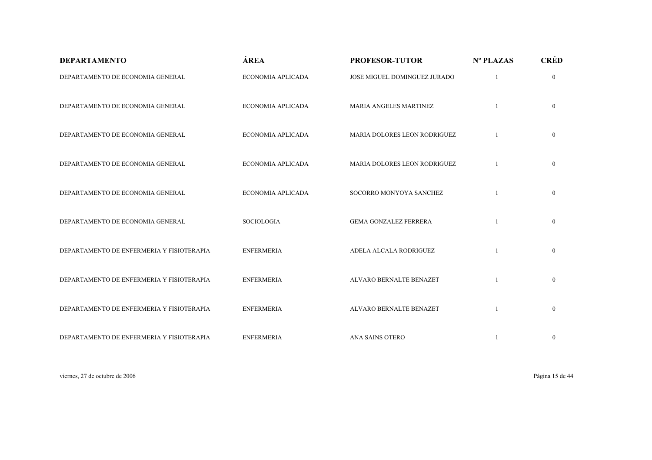| <b>DEPARTAMENTO</b>                       | ÁREA              | <b>PROFESOR-TUTOR</b>        | Nº PLAZAS | <b>CRÉD</b>    |
|-------------------------------------------|-------------------|------------------------------|-----------|----------------|
| DEPARTAMENTO DE ECONOMIA GENERAL          | ECONOMIA APLICADA | JOSE MIGUEL DOMINGUEZ JURADO |           | $\overline{0}$ |
| DEPARTAMENTO DE ECONOMIA GENERAL          | ECONOMIA APLICADA | MARIA ANGELES MARTINEZ       |           | $\mathbf{0}$   |
| DEPARTAMENTO DE ECONOMIA GENERAL          | ECONOMIA APLICADA | MARIA DOLORES LEON RODRIGUEZ |           | $\overline{0}$ |
| DEPARTAMENTO DE ECONOMIA GENERAL          | ECONOMIA APLICADA | MARIA DOLORES LEON RODRIGUEZ |           | $\overline{0}$ |
| DEPARTAMENTO DE ECONOMIA GENERAL          | ECONOMIA APLICADA | SOCORRO MONYOYA SANCHEZ      |           | $\overline{0}$ |
| DEPARTAMENTO DE ECONOMIA GENERAL          | <b>SOCIOLOGIA</b> | <b>GEMA GONZALEZ FERRERA</b> |           | $\overline{0}$ |
| DEPARTAMENTO DE ENFERMERIA Y FISIOTERAPIA | <b>ENFERMERIA</b> | ADELA ALCALA RODRIGUEZ       |           | $\overline{0}$ |
| DEPARTAMENTO DE ENFERMERIA Y FISIOTERAPIA | <b>ENFERMERIA</b> | ALVARO BERNALTE BENAZET      |           | $\overline{0}$ |
| DEPARTAMENTO DE ENFERMERIA Y FISIOTERAPIA | <b>ENFERMERIA</b> | ALVARO BERNALTE BENAZET      |           | $\overline{0}$ |
| DEPARTAMENTO DE ENFERMERIA Y FISIOTERAPIA | <b>ENFERMERIA</b> | ANA SAINS OTERO              |           | $\mathbf{0}$   |

viernes, 27 de octubre de 2006 Página 15 de 44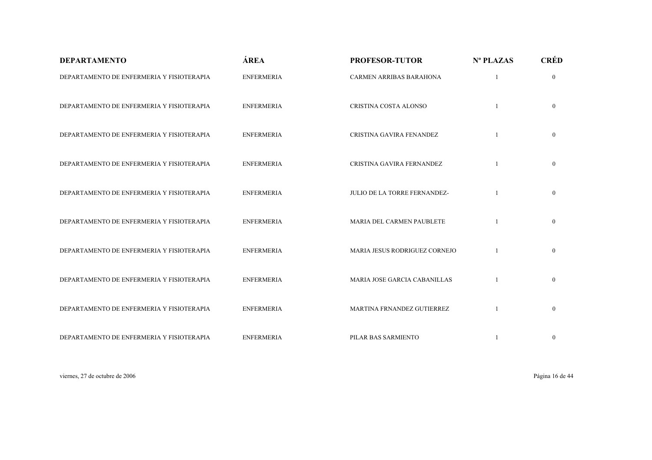| <b>DEPARTAMENTO</b>                       | ÁREA              | <b>PROFESOR-TUTOR</b>          | Nº PLAZAS | <b>CRÉD</b>    |
|-------------------------------------------|-------------------|--------------------------------|-----------|----------------|
| DEPARTAMENTO DE ENFERMERIA Y FISIOTERAPIA | <b>ENFERMERIA</b> | <b>CARMEN ARRIBAS BARAHONA</b> |           | $\overline{0}$ |
| DEPARTAMENTO DE ENFERMERIA Y FISIOTERAPIA | <b>ENFERMERIA</b> | CRISTINA COSTA ALONSO          |           | $\overline{0}$ |
| DEPARTAMENTO DE ENFERMERIA Y FISIOTERAPIA | <b>ENFERMERIA</b> | CRISTINA GAVIRA FENANDEZ       |           | $\overline{0}$ |
| DEPARTAMENTO DE ENFERMERIA Y FISIOTERAPIA | <b>ENFERMERIA</b> | CRISTINA GAVIRA FERNANDEZ      |           | $\overline{0}$ |
| DEPARTAMENTO DE ENFERMERIA Y FISIOTERAPIA | <b>ENFERMERIA</b> | JULIO DE LA TORRE FERNANDEZ-   |           | $\overline{0}$ |
| DEPARTAMENTO DE ENFERMERIA Y FISIOTERAPIA | <b>ENFERMERIA</b> | MARIA DEL CARMEN PAUBLETE      |           | $\overline{0}$ |
| DEPARTAMENTO DE ENFERMERIA Y FISIOTERAPIA | <b>ENFERMERIA</b> | MARIA JESUS RODRIGUEZ CORNEJO  |           | $\overline{0}$ |
| DEPARTAMENTO DE ENFERMERIA Y FISIOTERAPIA | <b>ENFERMERIA</b> | MARIA JOSE GARCIA CABANILLAS   |           | $\overline{0}$ |
| DEPARTAMENTO DE ENFERMERIA Y FISIOTERAPIA | <b>ENFERMERIA</b> | MARTINA FRNANDEZ GUTIERREZ     |           | $\overline{0}$ |
| DEPARTAMENTO DE ENFERMERIA Y FISIOTERAPIA | <b>ENFERMERIA</b> | PILAR BAS SARMIENTO            |           | $\mathbf{0}$   |

viernes, 27 de octubre de 2006 Página 16 de 44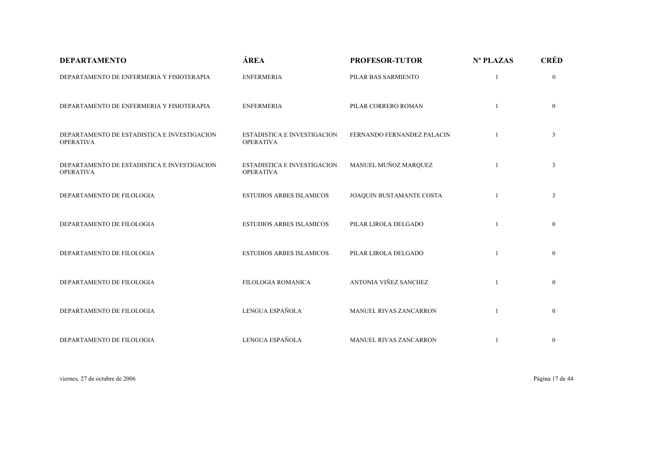| <b>DEPARTAMENTO</b>                                             | ÁREA                                                   | <b>PROFESOR-TUTOR</b>         | Nº PLAZAS | <b>CRÉD</b>    |
|-----------------------------------------------------------------|--------------------------------------------------------|-------------------------------|-----------|----------------|
| DEPARTAMENTO DE ENFERMERIA Y FISIOTERAPIA                       | <b>ENFERMERIA</b>                                      | PILAR BAS SARMIENTO           |           | $\overline{0}$ |
| DEPARTAMENTO DE ENFERMERIA Y FISIOTERAPIA                       | <b>ENFERMERIA</b>                                      | PILAR CORRERO ROMAN           |           | $\overline{0}$ |
| DEPARTAMENTO DE ESTADISTICA E INVESTIGACION<br><b>OPERATIVA</b> | <b>ESTADISTICA E INVESTIGACION</b><br><b>OPERATIVA</b> | FERNANDO FERNANDEZ PALACIN    |           | 3              |
| DEPARTAMENTO DE ESTADISTICA E INVESTIGACION<br><b>OPERATIVA</b> | <b>ESTADISTICA E INVESTIGACION</b><br><b>OPERATIVA</b> | MANUEL MUÑOZ MARQUEZ          |           | 3              |
| DEPARTAMENTO DE FILOLOGIA                                       | <b>ESTUDIOS ARBES ISLAMICOS</b>                        | JOAQUIN BUSTAMANTE COSTA      |           | $\mathfrak{Z}$ |
| DEPARTAMENTO DE FILOLOGIA                                       | <b>ESTUDIOS ARBES ISLAMICOS</b>                        | PILAR LIROLA DELGADO          |           | $\overline{0}$ |
| DEPARTAMENTO DE FILOLOGIA                                       | <b>ESTUDIOS ARBES ISLAMICOS</b>                        | PILAR LIROLA DELGADO          |           | $\overline{0}$ |
| DEPARTAMENTO DE FILOLOGIA                                       | FILOLOGIA ROMANICA                                     | ANTONIA VIÑEZ SANCHEZ         |           | $\mathbf{0}$   |
| DEPARTAMENTO DE FILOLOGIA                                       | LENGUA ESPAÑOLA                                        | <b>MANUEL RIVAS ZANCARRON</b> |           | $\mathbf{0}$   |
| DEPARTAMENTO DE FILOLOGIA                                       | LENGUA ESPAÑOLA                                        | MANUEL RIVAS ZANCARRON        |           | $\mathbf{0}$   |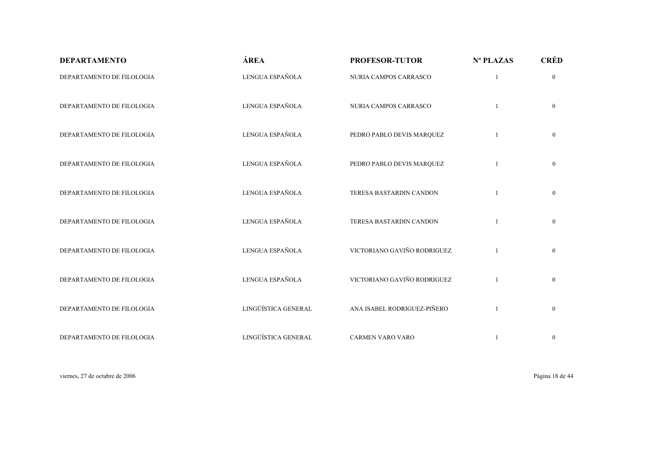| <b>DEPARTAMENTO</b>       | ÁREA                | <b>PROFESOR-TUTOR</b>       | Nº PLAZAS    | <b>CRÉD</b>    |
|---------------------------|---------------------|-----------------------------|--------------|----------------|
| DEPARTAMENTO DE FILOLOGIA | LENGUA ESPAÑOLA     | NURIA CAMPOS CARRASCO       | $\mathbf{1}$ | $\mathbf{0}$   |
| DEPARTAMENTO DE FILOLOGIA | LENGUA ESPAÑOLA     | NURIA CAMPOS CARRASCO       |              | $\overline{0}$ |
| DEPARTAMENTO DE FILOLOGIA | LENGUA ESPAÑOLA     | PEDRO PABLO DEVIS MARQUEZ   | $\mathbf{1}$ | $\mathbf{0}$   |
| DEPARTAMENTO DE FILOLOGIA | LENGUA ESPAÑOLA     | PEDRO PABLO DEVIS MARQUEZ   |              | $\overline{0}$ |
| DEPARTAMENTO DE FILOLOGIA | LENGUA ESPAÑOLA     | TERESA BASTARDIN CANDON     |              | $\overline{0}$ |
| DEPARTAMENTO DE FILOLOGIA | LENGUA ESPAÑOLA     | TERESA BASTARDIN CANDON     |              | $\overline{0}$ |
| DEPARTAMENTO DE FILOLOGIA | LENGUA ESPAÑOLA     | VICTORIANO GAVIÑO RODRIGUEZ |              | $\mathbf{0}$   |
| DEPARTAMENTO DE FILOLOGIA | LENGUA ESPAÑOLA     | VICTORIANO GAVIÑO RODRIGUEZ |              | $\mathbf{0}$   |
| DEPARTAMENTO DE FILOLOGIA | LINGÜÍSTICA GENERAL | ANA ISABEL RODRIGUEZ-PIÑERO |              | $\overline{0}$ |
| DEPARTAMENTO DE FILOLOGIA | LINGÜÍSTICA GENERAL | <b>CARMEN VARO VARO</b>     |              | $\mathbf{0}$   |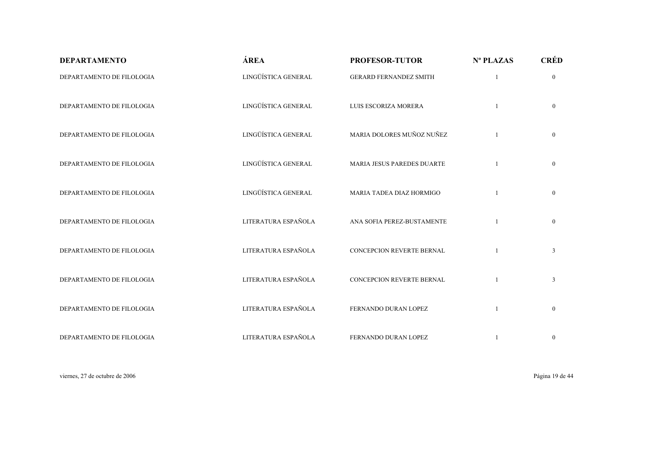| <b>DEPARTAMENTO</b>       | ÁREA                | <b>PROFESOR-TUTOR</b>             | Nº PLAZAS    | <b>CRÉD</b>    |
|---------------------------|---------------------|-----------------------------------|--------------|----------------|
| DEPARTAMENTO DE FILOLOGIA | LINGÜÍSTICA GENERAL | <b>GERARD FERNANDEZ SMITH</b>     | $\mathbf{1}$ | $\overline{0}$ |
| DEPARTAMENTO DE FILOLOGIA | LINGÜÍSTICA GENERAL | LUIS ESCORIZA MORERA              |              | $\overline{0}$ |
| DEPARTAMENTO DE FILOLOGIA | LINGÜÍSTICA GENERAL | MARIA DOLORES MUÑOZ NUÑEZ         |              | $\overline{0}$ |
| DEPARTAMENTO DE FILOLOGIA | LINGÜÍSTICA GENERAL | <b>MARIA JESUS PAREDES DUARTE</b> |              | $\overline{0}$ |
| DEPARTAMENTO DE FILOLOGIA | LINGÜÍSTICA GENERAL | MARIA TADEA DIAZ HORMIGO          |              | $\overline{0}$ |
| DEPARTAMENTO DE FILOLOGIA | LITERATURA ESPAÑOLA | ANA SOFIA PEREZ-BUSTAMENTE        |              | $\overline{0}$ |
| DEPARTAMENTO DE FILOLOGIA | LITERATURA ESPAÑOLA | CONCEPCION REVERTE BERNAL         |              | $\mathfrak{Z}$ |
| DEPARTAMENTO DE FILOLOGIA | LITERATURA ESPAÑOLA | CONCEPCION REVERTE BERNAL         |              | $\mathfrak{Z}$ |
| DEPARTAMENTO DE FILOLOGIA | LITERATURA ESPAÑOLA | FERNANDO DURAN LOPEZ              | $\mathbf{1}$ | $\overline{0}$ |
| DEPARTAMENTO DE FILOLOGIA | LITERATURA ESPAÑOLA | FERNANDO DURAN LOPEZ              |              | $\mathbf{0}$   |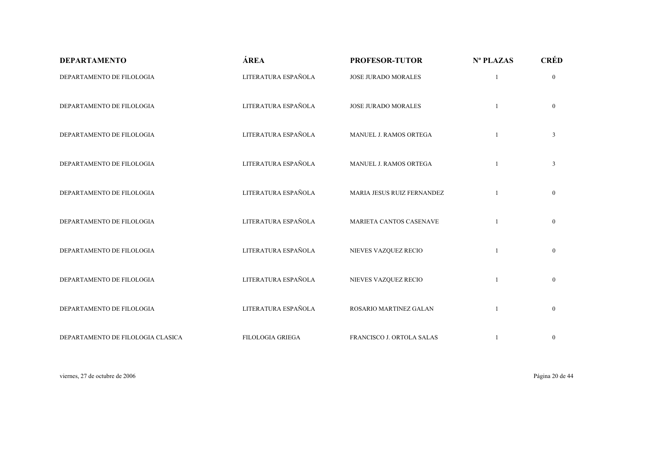| <b>DEPARTAMENTO</b>               | ÁREA                    | <b>PROFESOR-TUTOR</b>      | Nº PLAZAS    | <b>CRÉD</b>    |
|-----------------------------------|-------------------------|----------------------------|--------------|----------------|
| DEPARTAMENTO DE FILOLOGIA         | LITERATURA ESPAÑOLA     | <b>JOSE JURADO MORALES</b> | $\mathbf{1}$ | $\overline{0}$ |
| DEPARTAMENTO DE FILOLOGIA         | LITERATURA ESPAÑOLA     | <b>JOSE JURADO MORALES</b> |              | $\overline{0}$ |
| DEPARTAMENTO DE FILOLOGIA         | LITERATURA ESPAÑOLA     | MANUEL J. RAMOS ORTEGA     | $\mathbf{1}$ | $\mathfrak{Z}$ |
| DEPARTAMENTO DE FILOLOGIA         | LITERATURA ESPAÑOLA     | MANUEL J. RAMOS ORTEGA     |              | $\mathfrak{Z}$ |
| DEPARTAMENTO DE FILOLOGIA         | LITERATURA ESPAÑOLA     | MARIA JESUS RUIZ FERNANDEZ |              | $\mathbf{0}$   |
| DEPARTAMENTO DE FILOLOGIA         | LITERATURA ESPAÑOLA     | MARIETA CANTOS CASENAVE    |              | $\mathbf{0}$   |
| DEPARTAMENTO DE FILOLOGIA         | LITERATURA ESPAÑOLA     | NIEVES VAZQUEZ RECIO       | $\mathbf{1}$ | $\mathbf{0}$   |
| DEPARTAMENTO DE FILOLOGIA         | LITERATURA ESPAÑOLA     | NIEVES VAZQUEZ RECIO       | -1           | $\mathbf{0}$   |
| DEPARTAMENTO DE FILOLOGIA         | LITERATURA ESPAÑOLA     | ROSARIO MARTINEZ GALAN     |              | $\mathbf{0}$   |
| DEPARTAMENTO DE FILOLOGIA CLASICA | <b>FILOLOGIA GRIEGA</b> | FRANCISCO J. ORTOLA SALAS  |              | $\mathbf{0}$   |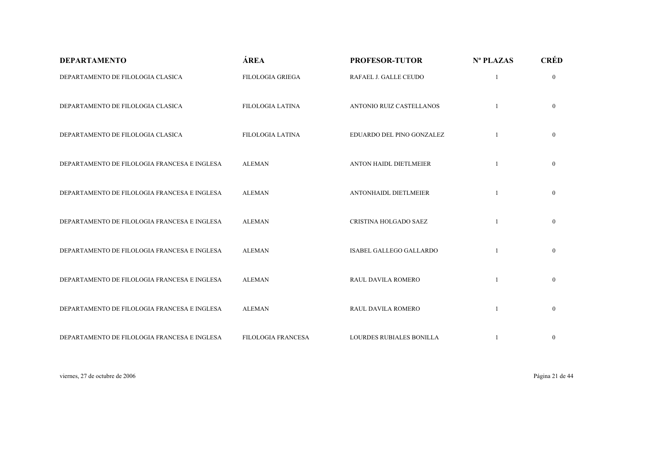| <b>DEPARTAMENTO</b>                          | ÁREA                    | <b>PROFESOR-TUTOR</b>        | Nº PLAZAS    | <b>CRÉD</b>  |
|----------------------------------------------|-------------------------|------------------------------|--------------|--------------|
| DEPARTAMENTO DE FILOLOGIA CLASICA            | <b>FILOLOGIA GRIEGA</b> | RAFAEL J. GALLE CEUDO        | $\mathbf{1}$ | $\mathbf{0}$ |
| DEPARTAMENTO DE FILOLOGIA CLASICA            | <b>FILOLOGIA LATINA</b> | ANTONIO RUIZ CASTELLANOS     |              | $\mathbf{0}$ |
| DEPARTAMENTO DE FILOLOGIA CLASICA            | <b>FILOLOGIA LATINA</b> | EDUARDO DEL PINO GONZALEZ    |              | $\mathbf{0}$ |
| DEPARTAMENTO DE FILOLOGIA FRANCESA E INGLESA | <b>ALEMAN</b>           | ANTON HAIDL DIETLMEIER       |              | $\mathbf{0}$ |
| DEPARTAMENTO DE FILOLOGIA FRANCESA E INGLESA | <b>ALEMAN</b>           | <b>ANTONHAIDL DIETLMEIER</b> |              | $\mathbf{0}$ |
| DEPARTAMENTO DE FILOLOGIA FRANCESA E INGLESA | <b>ALEMAN</b>           | CRISTINA HOLGADO SAEZ        |              | $\mathbf{0}$ |
| DEPARTAMENTO DE FILOLOGIA FRANCESA E INGLESA | <b>ALEMAN</b>           | ISABEL GALLEGO GALLARDO      |              | $\mathbf{0}$ |
| DEPARTAMENTO DE FILOLOGIA FRANCESA E INGLESA | <b>ALEMAN</b>           | RAUL DAVILA ROMERO           |              | $\mathbf{0}$ |
| DEPARTAMENTO DE FILOLOGIA FRANCESA E INGLESA | <b>ALEMAN</b>           | <b>RAUL DAVILA ROMERO</b>    |              | $\mathbf{0}$ |
| DEPARTAMENTO DE FILOLOGIA FRANCESA E INGLESA | FILOLOGIA FRANCESA      | LOURDES RUBIALES BONILLA     |              | $\bf{0}$     |

viernes, 27 de octubre de 2006 Página 21 de 44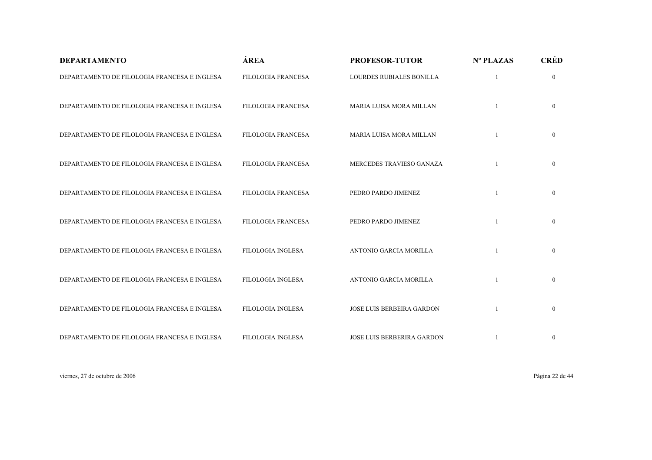| <b>DEPARTAMENTO</b>                          | ÁREA                      | <b>PROFESOR-TUTOR</b>            | Nº PLAZAS | <b>CRÉD</b>    |
|----------------------------------------------|---------------------------|----------------------------------|-----------|----------------|
| DEPARTAMENTO DE FILOLOGIA FRANCESA E INGLESA | <b>FILOLOGIA FRANCESA</b> | LOURDES RUBIALES BONILLA         |           | $\overline{0}$ |
| DEPARTAMENTO DE FILOLOGIA FRANCESA E INGLESA | FILOLOGIA FRANCESA        | MARIA LUISA MORA MILLAN          |           | $\overline{0}$ |
| DEPARTAMENTO DE FILOLOGIA FRANCESA E INGLESA | <b>FILOLOGIA FRANCESA</b> | <b>MARIA LUISA MORA MILLAN</b>   |           | $\overline{0}$ |
| DEPARTAMENTO DE FILOLOGIA FRANCESA E INGLESA | <b>FILOLOGIA FRANCESA</b> | MERCEDES TRAVIESO GANAZA         |           | $\overline{0}$ |
| DEPARTAMENTO DE FILOLOGIA FRANCESA E INGLESA | <b>FILOLOGIA FRANCESA</b> | PEDRO PARDO JIMENEZ              |           | $\overline{0}$ |
| DEPARTAMENTO DE FILOLOGIA FRANCESA E INGLESA | FILOLOGIA FRANCESA        | PEDRO PARDO JIMENEZ              |           | $\overline{0}$ |
| DEPARTAMENTO DE FILOLOGIA FRANCESA E INGLESA | <b>FILOLOGIA INGLESA</b>  | ANTONIO GARCIA MORILLA           |           | $\overline{0}$ |
| DEPARTAMENTO DE FILOLOGIA FRANCESA E INGLESA | <b>FILOLOGIA INGLESA</b>  | ANTONIO GARCIA MORILLA           |           | $\overline{0}$ |
| DEPARTAMENTO DE FILOLOGIA FRANCESA E INGLESA | <b>FILOLOGIA INGLESA</b>  | <b>JOSE LUIS BERBEIRA GARDON</b> |           | $\overline{0}$ |
| DEPARTAMENTO DE FILOLOGIA FRANCESA E INGLESA | <b>FILOLOGIA INGLESA</b>  | JOSE LUIS BERBERIRA GARDON       |           | $\mathbf{0}$   |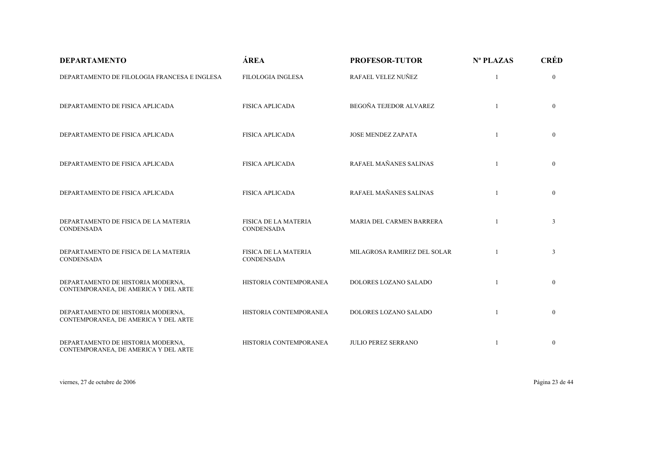| <b>DEPARTAMENTO</b>                                                       | ÁREA                                             | <b>PROFESOR-TUTOR</b>        | Nº PLAZAS    | <b>CRÉD</b>    |
|---------------------------------------------------------------------------|--------------------------------------------------|------------------------------|--------------|----------------|
| DEPARTAMENTO DE FILOLOGIA FRANCESA E INGLESA                              | <b>FILOLOGIA INGLESA</b>                         | RAFAEL VELEZ NUÑEZ           |              | $\mathbf{0}$   |
| DEPARTAMENTO DE FISICA APLICADA                                           | <b>FISICA APLICADA</b>                           | BEGOÑA TEJEDOR ALVAREZ       | $\mathbf{1}$ | $\mathbf{0}$   |
| DEPARTAMENTO DE FISICA APLICADA                                           | <b>FISICA APLICADA</b>                           | <b>JOSE MENDEZ ZAPATA</b>    |              | $\mathbf{0}$   |
| DEPARTAMENTO DE FISICA APLICADA                                           | <b>FISICA APLICADA</b>                           | RAFAEL MAÑANES SALINAS       |              | $\Omega$       |
| DEPARTAMENTO DE FISICA APLICADA                                           | <b>FISICA APLICADA</b>                           | RAFAEL MAÑANES SALINAS       | 1            | $\overline{0}$ |
| DEPARTAMENTO DE FISICA DE LA MATERIA<br>CONDENSADA                        | FISICA DE LA MATERIA<br><b>CONDENSADA</b>        | MARIA DEL CARMEN BARRERA     |              | 3              |
| DEPARTAMENTO DE FISICA DE LA MATERIA<br><b>CONDENSADA</b>                 | <b>FISICA DE LA MATERIA</b><br><b>CONDENSADA</b> | MILAGROSA RAMIREZ DEL SOLAR  |              | $\mathfrak{Z}$ |
| DEPARTAMENTO DE HISTORIA MODERNA,<br>CONTEMPORANEA, DE AMERICA Y DEL ARTE | HISTORIA CONTEMPORANEA                           | DOLORES LOZANO SALADO        |              | $\overline{0}$ |
| DEPARTAMENTO DE HISTORIA MODERNA,<br>CONTEMPORANEA, DE AMERICA Y DEL ARTE | HISTORIA CONTEMPORANEA                           | <b>DOLORES LOZANO SALADO</b> | 1            | $\mathbf{0}$   |
| DEPARTAMENTO DE HISTORIA MODERNA,<br>CONTEMPORANEA, DE AMERICA Y DEL ARTE | HISTORIA CONTEMPORANEA                           | <b>JULIO PEREZ SERRANO</b>   |              | $\mathbf{0}$   |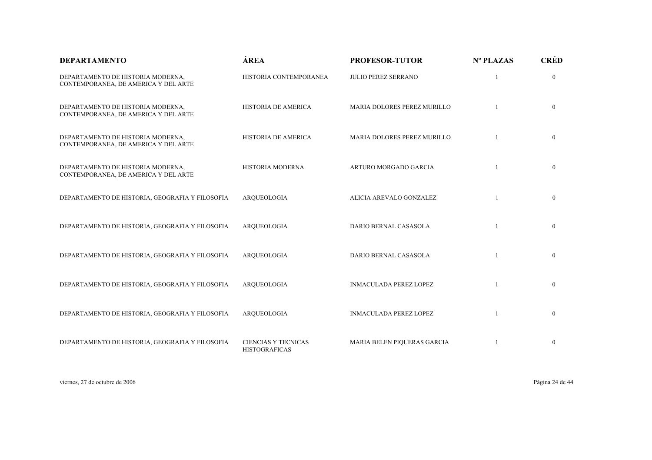| <b>DEPARTAMENTO</b>                                                       | ÁREA                                               | <b>PROFESOR-TUTOR</b>         | Nº PLAZAS    | <b>CRÉD</b>    |
|---------------------------------------------------------------------------|----------------------------------------------------|-------------------------------|--------------|----------------|
| DEPARTAMENTO DE HISTORIA MODERNA,<br>CONTEMPORANEA, DE AMERICA Y DEL ARTE | HISTORIA CONTEMPORANEA                             | <b>JULIO PEREZ SERRANO</b>    |              | $\mathbf{0}$   |
| DEPARTAMENTO DE HISTORIA MODERNA,<br>CONTEMPORANEA, DE AMERICA Y DEL ARTE | HISTORIA DE AMERICA                                | MARIA DOLORES PEREZ MURILLO   |              | $\mathbf{0}$   |
| DEPARTAMENTO DE HISTORIA MODERNA,<br>CONTEMPORANEA, DE AMERICA Y DEL ARTE | HISTORIA DE AMERICA                                | MARIA DOLORES PEREZ MURILLO   |              | $\mathbf{0}$   |
| DEPARTAMENTO DE HISTORIA MODERNA,<br>CONTEMPORANEA, DE AMERICA Y DEL ARTE | HISTORIA MODERNA                                   | ARTURO MORGADO GARCIA         |              | $\mathbf{0}$   |
| DEPARTAMENTO DE HISTORIA, GEOGRAFIA Y FILOSOFIA                           | AROUEOLOGIA                                        | ALICIA AREVALO GONZALEZ       |              | $\mathbf{0}$   |
| DEPARTAMENTO DE HISTORIA, GEOGRAFIA Y FILOSOFIA                           | ARQUEOLOGIA                                        | DARIO BERNAL CASASOLA         | $\mathbf{1}$ | $\mathbf{0}$   |
| DEPARTAMENTO DE HISTORIA, GEOGRAFIA Y FILOSOFIA                           | AROUEOLOGIA                                        | DARIO BERNAL CASASOLA         |              | $\mathbf{0}$   |
| DEPARTAMENTO DE HISTORIA, GEOGRAFIA Y FILOSOFIA                           | ARQUEOLOGIA                                        | <b>INMACULADA PEREZ LOPEZ</b> |              | $\mathbf{0}$   |
| DEPARTAMENTO DE HISTORIA, GEOGRAFIA Y FILOSOFIA                           | AROUEOLOGIA                                        | <b>INMACULADA PEREZ LOPEZ</b> |              | $\mathbf{0}$   |
| DEPARTAMENTO DE HISTORIA, GEOGRAFIA Y FILOSOFIA                           | <b>CIENCIAS Y TECNICAS</b><br><b>HISTOGRAFICAS</b> | MARIA BELEN PIQUERAS GARCIA   |              | $\overline{0}$ |

viernes, 27 de octubre de 2006 Página 24 de 44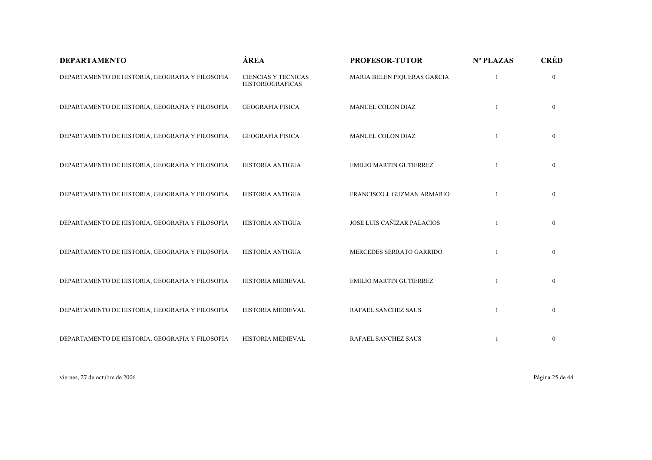| <b>DEPARTAMENTO</b>                             | ÁREA                                                  | <b>PROFESOR-TUTOR</b>          | Nº PLAZAS | <b>CRÉD</b>    |
|-------------------------------------------------|-------------------------------------------------------|--------------------------------|-----------|----------------|
| DEPARTAMENTO DE HISTORIA, GEOGRAFIA Y FILOSOFIA | <b>CIENCIAS Y TECNICAS</b><br><b>HISTORIOGRAFICAS</b> | MARIA BELEN PIQUERAS GARCIA    |           | $\mathbf{0}$   |
| DEPARTAMENTO DE HISTORIA, GEOGRAFIA Y FILOSOFIA | <b>GEOGRAFIA FISICA</b>                               | MANUEL COLON DIAZ              |           | $\overline{0}$ |
| DEPARTAMENTO DE HISTORIA, GEOGRAFIA Y FILOSOFIA | <b>GEOGRAFIA FISICA</b>                               | MANUEL COLON DIAZ              |           | $\overline{0}$ |
| DEPARTAMENTO DE HISTORIA, GEOGRAFIA Y FILOSOFIA | HISTORIA ANTIGUA                                      | <b>EMILIO MARTIN GUTIERREZ</b> |           | $\overline{0}$ |
| DEPARTAMENTO DE HISTORIA, GEOGRAFIA Y FILOSOFIA | HISTORIA ANTIGUA                                      | FRANCISCO J. GUZMAN ARMARIO    |           | $\overline{0}$ |
| DEPARTAMENTO DE HISTORIA, GEOGRAFIA Y FILOSOFIA | HISTORIA ANTIGUA                                      | JOSE LUIS CAÑIZAR PALACIOS     |           | $\overline{0}$ |
| DEPARTAMENTO DE HISTORIA, GEOGRAFIA Y FILOSOFIA | HISTORIA ANTIGUA                                      | MERCEDES SERRATO GARRIDO       |           | $\overline{0}$ |
| DEPARTAMENTO DE HISTORIA, GEOGRAFIA Y FILOSOFIA | HISTORIA MEDIEVAL                                     | EMILIO MARTIN GUTIERREZ        |           | $\mathbf{0}$   |
| DEPARTAMENTO DE HISTORIA, GEOGRAFIA Y FILOSOFIA | HISTORIA MEDIEVAL                                     | RAFAEL SANCHEZ SAUS            |           | $\overline{0}$ |
| DEPARTAMENTO DE HISTORIA, GEOGRAFIA Y FILOSOFIA | HISTORIA MEDIEVAL                                     | RAFAEL SANCHEZ SAUS            |           | $\mathbf{0}$   |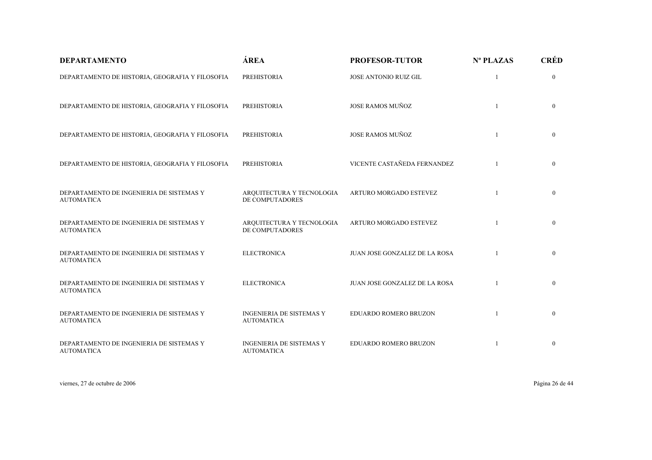| <b>DEPARTAMENTO</b>                                           | ÁREA                                                 | <b>PROFESOR-TUTOR</b>         | Nº PLAZAS    | <b>CRÉD</b>    |
|---------------------------------------------------------------|------------------------------------------------------|-------------------------------|--------------|----------------|
| DEPARTAMENTO DE HISTORIA, GEOGRAFIA Y FILOSOFIA               | PREHISTORIA                                          | JOSE ANTONIO RUIZ GIL         |              | $\mathbf{0}$   |
| DEPARTAMENTO DE HISTORIA, GEOGRAFIA Y FILOSOFIA               | <b>PREHISTORIA</b>                                   | <b>JOSE RAMOS MUÑOZ</b>       | $\mathbf{1}$ | $\mathbf{0}$   |
| DEPARTAMENTO DE HISTORIA, GEOGRAFIA Y FILOSOFIA               | <b>PREHISTORIA</b>                                   | <b>JOSE RAMOS MUÑOZ</b>       |              | $\overline{0}$ |
| DEPARTAMENTO DE HISTORIA, GEOGRAFIA Y FILOSOFIA               | PREHISTORIA                                          | VICENTE CASTAÑEDA FERNANDEZ   |              | $\mathbf{0}$   |
| DEPARTAMENTO DE INGENIERIA DE SISTEMAS Y<br><b>AUTOMATICA</b> | ARQUITECTURA Y TECNOLOGIA<br>DE COMPUTADORES         | ARTURO MORGADO ESTEVEZ        |              | $\mathbf{0}$   |
| DEPARTAMENTO DE INGENIERIA DE SISTEMAS Y<br><b>AUTOMATICA</b> | ARQUITECTURA Y TECNOLOGIA<br>DE COMPUTADORES         | ARTURO MORGADO ESTEVEZ        |              | $\mathbf{0}$   |
| DEPARTAMENTO DE INGENIERIA DE SISTEMAS Y<br><b>AUTOMATICA</b> | <b>ELECTRONICA</b>                                   | JUAN JOSE GONZALEZ DE LA ROSA |              | $\mathbf{0}$   |
| DEPARTAMENTO DE INGENIERIA DE SISTEMAS Y<br><b>AUTOMATICA</b> | <b>ELECTRONICA</b>                                   | JUAN JOSE GONZALEZ DE LA ROSA |              | $\mathbf{0}$   |
| DEPARTAMENTO DE INGENIERIA DE SISTEMAS Y<br><b>AUTOMATICA</b> | <b>INGENIERIA DE SISTEMAS Y</b><br><b>AUTOMATICA</b> | EDUARDO ROMERO BRUZON         |              | $\mathbf{0}$   |
| DEPARTAMENTO DE INGENIERIA DE SISTEMAS Y<br><b>AUTOMATICA</b> | <b>INGENIERIA DE SISTEMAS Y</b><br><b>AUTOMATICA</b> | EDUARDO ROMERO BRUZON         |              | $\mathbf{0}$   |

viernes, 27 de octubre de 2006 Página 26 de 44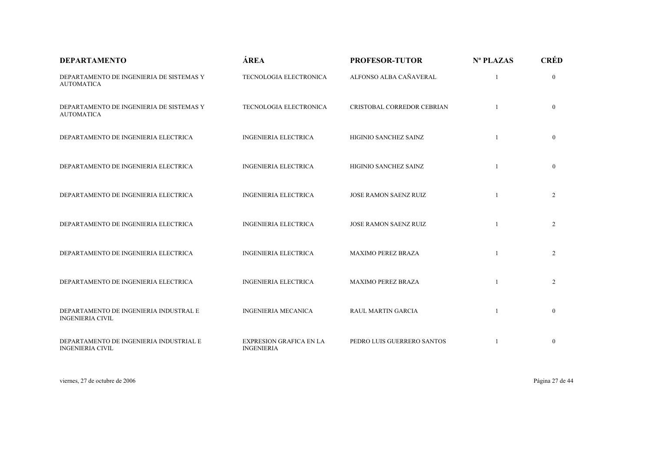| <b>DEPARTAMENTO</b>                                                | ÁREA                                                | <b>PROFESOR-TUTOR</b>        | Nº PLAZAS | <b>CRÉD</b>    |
|--------------------------------------------------------------------|-----------------------------------------------------|------------------------------|-----------|----------------|
| DEPARTAMENTO DE INGENIERIA DE SISTEMAS Y<br><b>AUTOMATICA</b>      | TECNOLOGIA ELECTRONICA                              | ALFONSO ALBA CAÑAVERAL       |           | $\overline{0}$ |
| DEPARTAMENTO DE INGENIERIA DE SISTEMAS Y<br><b>AUTOMATICA</b>      | TECNOLOGIA ELECTRONICA                              | CRISTOBAL CORREDOR CEBRIAN   |           | $\overline{0}$ |
| DEPARTAMENTO DE INGENIERIA ELECTRICA                               | <b>INGENIERIA ELECTRICA</b>                         | HIGINIO SANCHEZ SAINZ        |           | $\overline{0}$ |
| DEPARTAMENTO DE INGENIERIA ELECTRICA                               | <b>INGENIERIA ELECTRICA</b>                         | HIGINIO SANCHEZ SAINZ        |           | $\overline{0}$ |
| DEPARTAMENTO DE INGENIERIA ELECTRICA                               | <b>INGENIERIA ELECTRICA</b>                         | JOSE RAMON SAENZ RUIZ        |           | $\overline{2}$ |
| DEPARTAMENTO DE INGENIERIA ELECTRICA                               | <b>INGENIERIA ELECTRICA</b>                         | <b>JOSE RAMON SAENZ RUIZ</b> |           | $\overline{2}$ |
| DEPARTAMENTO DE INGENIERIA ELECTRICA                               | <b>INGENIERIA ELECTRICA</b>                         | <b>MAXIMO PEREZ BRAZA</b>    |           | $\overline{2}$ |
| DEPARTAMENTO DE INGENIERIA ELECTRICA                               | <b>INGENIERIA ELECTRICA</b>                         | <b>MAXIMO PEREZ BRAZA</b>    |           | $\overline{2}$ |
| DEPARTAMENTO DE INGENIERIA INDUSTRAL E<br><b>INGENIERIA CIVIL</b>  | <b>INGENIERIA MECANICA</b>                          | <b>RAUL MARTIN GARCIA</b>    |           | $\mathbf{0}$   |
| DEPARTAMENTO DE INGENIERIA INDUSTRIAL E<br><b>INGENIERIA CIVIL</b> | <b>EXPRESION GRAFICA EN LA</b><br><b>INGENIERIA</b> | PEDRO LUIS GUERRERO SANTOS   |           | $\mathbf{0}$   |

viernes, 27 de octubre de 2006 Página 27 de 44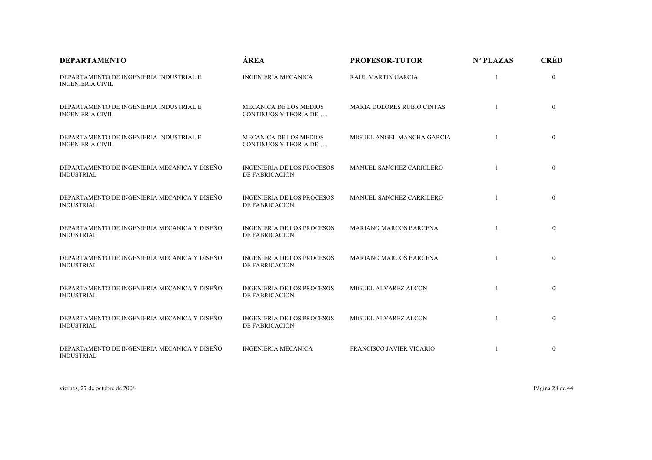| <b>DEPARTAMENTO</b>                                                | ÁREA                                                          | <b>PROFESOR-TUTOR</b>             | $N^{\circ}$ PLAZAS | <b>CRÉD</b>    |
|--------------------------------------------------------------------|---------------------------------------------------------------|-----------------------------------|--------------------|----------------|
| DEPARTAMENTO DE INGENIERIA INDUSTRIAL E<br><b>INGENIERIA CIVIL</b> | <b>INGENIERIA MECANICA</b>                                    | <b>RAUL MARTIN GARCIA</b>         | 1                  | $\mathbf{0}$   |
| DEPARTAMENTO DE INGENIERIA INDUSTRIAL E<br><b>INGENIERIA CIVIL</b> | MECANICA DE LOS MEDIOS<br><b>CONTINUOS Y TEORIA DE</b>        | <b>MARIA DOLORES RUBIO CINTAS</b> |                    | $\overline{0}$ |
| DEPARTAMENTO DE INGENIERIA INDUSTRIAL E<br><b>INGENIERIA CIVIL</b> | <b>MECANICA DE LOS MEDIOS</b><br><b>CONTINUOS Y TEORIA DE</b> | MIGUEL ANGEL MANCHA GARCIA        |                    | $\overline{0}$ |
| DEPARTAMENTO DE INGENIERIA MECANICA Y DISEÑO<br><b>INDUSTRIAL</b>  | <b>INGENIERIA DE LOS PROCESOS</b><br><b>DE FABRICACION</b>    | MANUEL SANCHEZ CARRILERO          |                    | $\mathbf{0}$   |
| DEPARTAMENTO DE INGENIERIA MECANICA Y DISEÑO<br><b>INDUSTRIAL</b>  | <b>INGENIERIA DE LOS PROCESOS</b><br><b>DE FABRICACION</b>    | MANUEL SANCHEZ CARRILERO          |                    | $\mathbf{0}$   |
| DEPARTAMENTO DE INGENIERIA MECANICA Y DISEÑO<br><b>INDUSTRIAL</b>  | <b>INGENIERIA DE LOS PROCESOS</b><br><b>DE FABRICACION</b>    | <b>MARIANO MARCOS BARCENA</b>     |                    | $\mathbf{0}$   |
| DEPARTAMENTO DE INGENIERIA MECANICA Y DISEÑO<br><b>INDUSTRIAL</b>  | <b>INGENIERIA DE LOS PROCESOS</b><br><b>DE FABRICACION</b>    | <b>MARIANO MARCOS BARCENA</b>     |                    | $\mathbf{0}$   |
| DEPARTAMENTO DE INGENIERIA MECANICA Y DISEÑO<br><b>INDUSTRIAL</b>  | <b>INGENIERIA DE LOS PROCESOS</b><br>DE FABRICACION           | MIGUEL ALVAREZ ALCON              |                    | $\mathbf{0}$   |
| DEPARTAMENTO DE INGENIERIA MECANICA Y DISEÑO<br><b>INDUSTRIAL</b>  | <b>INGENIERIA DE LOS PROCESOS</b><br>DE FABRICACION           | MIGUEL ALVAREZ ALCON              |                    | $\mathbf{0}$   |
| DEPARTAMENTO DE INGENIERIA MECANICA Y DISEÑO<br><b>INDUSTRIAL</b>  | <b>INGENIERIA MECANICA</b>                                    | FRANCISCO JAVIER VICARIO          | -1                 | $\mathbf{0}$   |

viernes, 27 de octubre de 2006 Página 28 de 44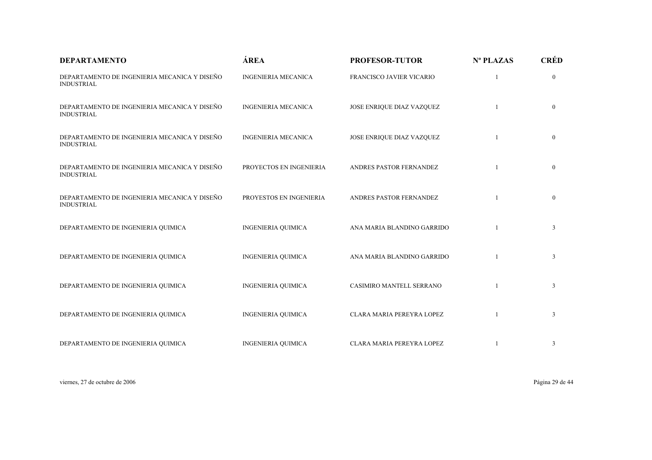| <b>DEPARTAMENTO</b>                                               | ÁREA                                                                                                                                                                                                                                                                                                                                                                                                                                                                                                                              | <b>PROFESOR-TUTOR</b>     | Nº PLAZAS    | <b>CRÉD</b>    |
|-------------------------------------------------------------------|-----------------------------------------------------------------------------------------------------------------------------------------------------------------------------------------------------------------------------------------------------------------------------------------------------------------------------------------------------------------------------------------------------------------------------------------------------------------------------------------------------------------------------------|---------------------------|--------------|----------------|
| DEPARTAMENTO DE INGENIERIA MECANICA Y DISEÑO<br><b>INDUSTRIAL</b> | <b>INGENIERIA MECANICA</b><br>FRANCISCO JAVIER VICARIO<br><b>INGENIERIA MECANICA</b><br>JOSE ENRIQUE DIAZ VAZQUEZ<br><b>INGENIERIA MECANICA</b><br>JOSE ENRIQUE DIAZ VAZQUEZ<br>PROYECTOS EN INGENIERIA<br>ANDRES PASTOR FERNANDEZ<br>PROYESTOS EN INGENIERIA<br>ANDRES PASTOR FERNANDEZ<br><b>INGENIERIA QUIMICA</b><br>ANA MARIA BLANDINO GARRIDO<br><b>INGENIERIA QUIMICA</b><br>ANA MARIA BLANDINO GARRIDO<br><b>INGENIERIA QUIMICA</b><br>CASIMIRO MANTELL SERRANO<br><b>INGENIERIA QUIMICA</b><br>CLARA MARIA PEREYRA LOPEZ |                           | $\mathbf{0}$ |                |
| DEPARTAMENTO DE INGENIERIA MECANICA Y DISEÑO<br><b>INDUSTRIAL</b> |                                                                                                                                                                                                                                                                                                                                                                                                                                                                                                                                   |                           |              | $\mathbf{0}$   |
| DEPARTAMENTO DE INGENIERIA MECANICA Y DISEÑO<br><b>INDUSTRIAL</b> |                                                                                                                                                                                                                                                                                                                                                                                                                                                                                                                                   |                           |              | $\mathbf{0}$   |
| DEPARTAMENTO DE INGENIERIA MECANICA Y DISEÑO<br><b>INDUSTRIAL</b> |                                                                                                                                                                                                                                                                                                                                                                                                                                                                                                                                   |                           |              | $\mathbf{0}$   |
| DEPARTAMENTO DE INGENIERIA MECANICA Y DISEÑO<br><b>INDUSTRIAL</b> |                                                                                                                                                                                                                                                                                                                                                                                                                                                                                                                                   |                           |              | $\mathbf{0}$   |
| DEPARTAMENTO DE INGENIERIA QUIMICA                                |                                                                                                                                                                                                                                                                                                                                                                                                                                                                                                                                   |                           |              | 3              |
| DEPARTAMENTO DE INGENIERIA QUIMICA                                |                                                                                                                                                                                                                                                                                                                                                                                                                                                                                                                                   |                           |              | $\mathfrak{Z}$ |
| DEPARTAMENTO DE INGENIERIA QUIMICA                                |                                                                                                                                                                                                                                                                                                                                                                                                                                                                                                                                   |                           |              | $\mathfrak{Z}$ |
| DEPARTAMENTO DE INGENIERIA QUIMICA                                |                                                                                                                                                                                                                                                                                                                                                                                                                                                                                                                                   |                           |              | 3              |
| DEPARTAMENTO DE INGENIERIA QUIMICA                                | <b>INGENIERIA QUIMICA</b>                                                                                                                                                                                                                                                                                                                                                                                                                                                                                                         | CLARA MARIA PEREYRA LOPEZ |              | 3              |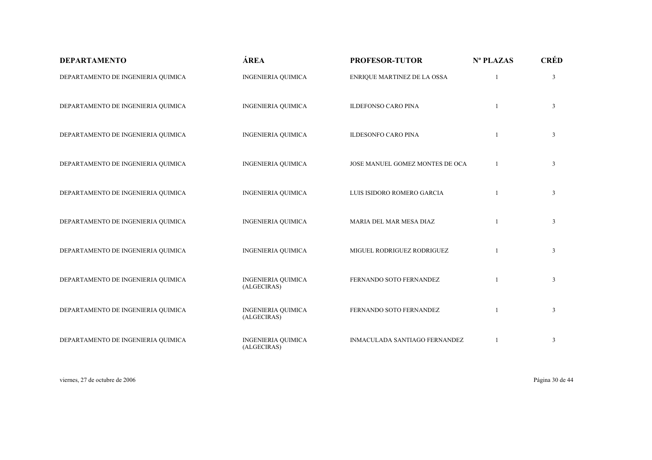| <b>DEPARTAMENTO</b>                | ÁREA                                     | <b>PROFESOR-TUTOR</b>           | Nº PLAZAS    | <b>CRÉD</b>    |
|------------------------------------|------------------------------------------|---------------------------------|--------------|----------------|
| DEPARTAMENTO DE INGENIERIA QUIMICA | <b>INGENIERIA QUIMICA</b>                | ENRIQUE MARTINEZ DE LA OSSA     |              | $\mathfrak{Z}$ |
| DEPARTAMENTO DE INGENIERIA QUIMICA | <b>INGENIERIA QUIMICA</b>                | <b>ILDEFONSO CARO PINA</b>      | 1            | $\mathfrak{Z}$ |
| DEPARTAMENTO DE INGENIERIA QUIMICA | <b>INGENIERIA QUIMICA</b>                | <b>ILDESONFO CARO PINA</b>      | $\mathbf{1}$ | 3              |
| DEPARTAMENTO DE INGENIERIA QUIMICA | <b>INGENIERIA QUIMICA</b>                | JOSE MANUEL GOMEZ MONTES DE OCA | 1            | $\mathfrak{Z}$ |
| DEPARTAMENTO DE INGENIERIA QUIMICA | <b>INGENIERIA QUIMICA</b>                | LUIS ISIDORO ROMERO GARCIA      |              | $\mathfrak{Z}$ |
| DEPARTAMENTO DE INGENIERIA QUIMICA | <b>INGENIERIA QUIMICA</b>                | MARIA DEL MAR MESA DIAZ         |              | 3              |
| DEPARTAMENTO DE INGENIERIA QUIMICA | <b>INGENIERIA QUIMICA</b>                | MIGUEL RODRIGUEZ RODRIGUEZ      |              | 3              |
| DEPARTAMENTO DE INGENIERIA QUIMICA | <b>INGENIERIA QUIMICA</b><br>(ALGECIRAS) | FERNANDO SOTO FERNANDEZ         |              | 3              |
| DEPARTAMENTO DE INGENIERIA QUIMICA | <b>INGENIERIA QUIMICA</b><br>(ALGECIRAS) | FERNANDO SOTO FERNANDEZ         |              | 3              |
| DEPARTAMENTO DE INGENIERIA QUIMICA | <b>INGENIERIA QUIMICA</b><br>(ALGECIRAS) | INMACULADA SANTIAGO FERNANDEZ   |              | $\mathfrak{Z}$ |

viernes, 27 de octubre de 2006 Página 30 de 44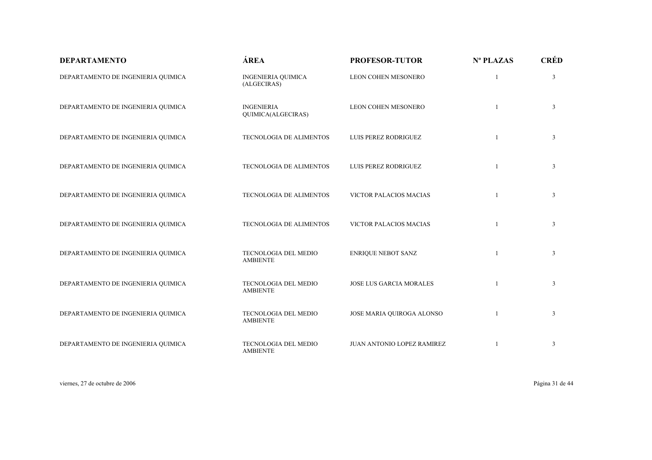| <b>DEPARTAMENTO</b>                | ÁREA                                     | <b>PROFESOR-TUTOR</b>          | Nº PLAZAS    | <b>CRÉD</b>    |
|------------------------------------|------------------------------------------|--------------------------------|--------------|----------------|
| DEPARTAMENTO DE INGENIERIA QUIMICA | <b>INGENIERIA QUIMICA</b><br>(ALGECIRAS) | LEON COHEN MESONERO            |              | 3              |
| DEPARTAMENTO DE INGENIERIA QUIMICA | <b>INGENIERIA</b><br>QUIMICA(ALGECIRAS)  | LEON COHEN MESONERO            |              | $\mathfrak{Z}$ |
| DEPARTAMENTO DE INGENIERIA QUIMICA | TECNOLOGIA DE ALIMENTOS                  | LUIS PEREZ RODRIGUEZ           | 1            | $\mathfrak{Z}$ |
| DEPARTAMENTO DE INGENIERIA QUIMICA | TECNOLOGIA DE ALIMENTOS                  | LUIS PEREZ RODRIGUEZ           | $\mathbf{1}$ | $\mathfrak{Z}$ |
| DEPARTAMENTO DE INGENIERIA QUIMICA | TECNOLOGIA DE ALIMENTOS                  | VICTOR PALACIOS MACIAS         | 1            | $\mathfrak{Z}$ |
| DEPARTAMENTO DE INGENIERIA QUIMICA | TECNOLOGIA DE ALIMENTOS                  | VICTOR PALACIOS MACIAS         |              | 3              |
| DEPARTAMENTO DE INGENIERIA QUIMICA | TECNOLOGIA DEL MEDIO<br><b>AMBIENTE</b>  | <b>ENRIQUE NEBOT SANZ</b>      | $\mathbf{1}$ | $\mathfrak{Z}$ |
| DEPARTAMENTO DE INGENIERIA QUIMICA | TECNOLOGIA DEL MEDIO<br><b>AMBIENTE</b>  | <b>JOSE LUS GARCIA MORALES</b> |              | $\mathfrak{Z}$ |
| DEPARTAMENTO DE INGENIERIA QUIMICA | TECNOLOGIA DEL MEDIO<br><b>AMBIENTE</b>  | JOSE MARIA QUIROGA ALONSO      | $\mathbf{1}$ | $\mathfrak{Z}$ |
| DEPARTAMENTO DE INGENIERIA QUIMICA | TECNOLOGIA DEL MEDIO<br><b>AMBIENTE</b>  | JUAN ANTONIO LOPEZ RAMIREZ     |              | 3              |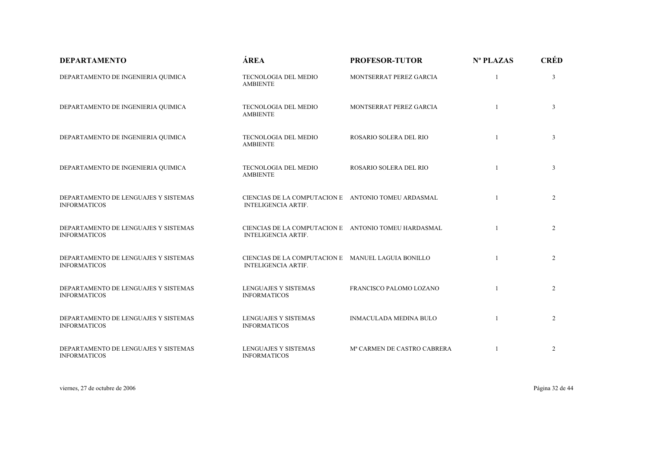| <b>DEPARTAMENTO</b>                                         | ÁREA                                                                               | <b>PROFESOR-TUTOR</b>         | Nº PLAZAS    | <b>CRÉD</b>    |
|-------------------------------------------------------------|------------------------------------------------------------------------------------|-------------------------------|--------------|----------------|
| DEPARTAMENTO DE INGENIERIA QUIMICA                          | TECNOLOGIA DEL MEDIO<br><b>AMBIENTE</b>                                            | MONTSERRAT PEREZ GARCIA       |              | $\mathfrak{Z}$ |
| DEPARTAMENTO DE INGENIERIA QUIMICA                          | TECNOLOGIA DEL MEDIO<br><b>AMBIENTE</b>                                            | MONTSERRAT PEREZ GARCIA       | $\mathbf{1}$ | $\overline{3}$ |
| DEPARTAMENTO DE INGENIERIA QUIMICA                          | TECNOLOGIA DEL MEDIO<br><b>AMBIENTE</b>                                            | ROSARIO SOLERA DEL RIO        | $\mathbf{1}$ | $\overline{3}$ |
| DEPARTAMENTO DE INGENIERIA QUIMICA                          | TECNOLOGIA DEL MEDIO<br><b>AMBIENTE</b>                                            | ROSARIO SOLERA DEL RIO        | $\mathbf{1}$ | $\overline{3}$ |
| DEPARTAMENTO DE LENGUAJES Y SISTEMAS<br><b>INFORMATICOS</b> | CIENCIAS DE LA COMPUTACION E ANTONIO TOMEU ARDASMAL<br><b>INTELIGENCIA ARTIF.</b>  |                               | $\mathbf{1}$ | 2              |
| DEPARTAMENTO DE LENGUAJES Y SISTEMAS<br><b>INFORMATICOS</b> | CIENCIAS DE LA COMPUTACION E ANTONIO TOMEU HARDASMAL<br><b>INTELIGENCIA ARTIF.</b> |                               |              | 2              |
| DEPARTAMENTO DE LENGUAJES Y SISTEMAS<br><b>INFORMATICOS</b> | CIENCIAS DE LA COMPUTACION E MANUEL LAGUIA BONILLO<br><b>INTELIGENCIA ARTIF.</b>   |                               | $\mathbf{1}$ | 2              |
| DEPARTAMENTO DE LENGUAJES Y SISTEMAS<br><b>INFORMATICOS</b> | <b>LENGUAJES Y SISTEMAS</b><br><b>INFORMATICOS</b>                                 | FRANCISCO PALOMO LOZANO       |              | $\overline{2}$ |
| DEPARTAMENTO DE LENGUAJES Y SISTEMAS<br><b>INFORMATICOS</b> | LENGUAJES Y SISTEMAS<br><b>INFORMATICOS</b>                                        | <b>INMACULADA MEDINA BULO</b> |              | 2              |
| DEPARTAMENTO DE LENGUAJES Y SISTEMAS<br><b>INFORMATICOS</b> | <b>LENGUAJES Y SISTEMAS</b><br><b>INFORMATICOS</b>                                 | Mª CARMEN DE CASTRO CABRERA   |              | 2              |

viernes, 27 de octubre de 2006 Página 32 de 44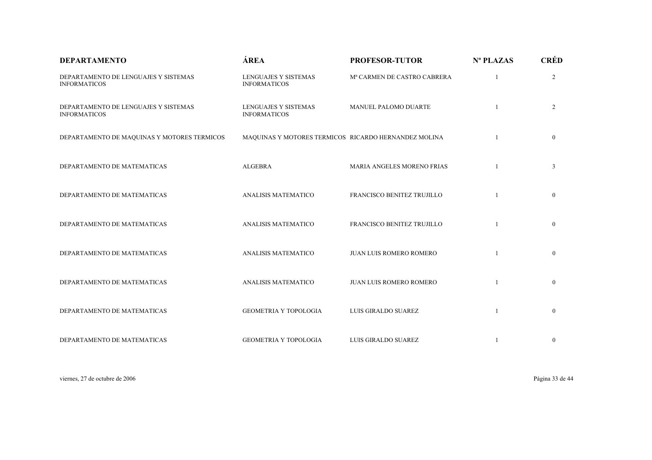| <b>DEPARTAMENTO</b>                                         | ÁREA                                                 | <b>PROFESOR-TUTOR</b>       | Nº PLAZAS    | <b>CRÉD</b>    |
|-------------------------------------------------------------|------------------------------------------------------|-----------------------------|--------------|----------------|
| DEPARTAMENTO DE LENGUAJES Y SISTEMAS<br><b>INFORMATICOS</b> | <b>LENGUAJES Y SISTEMAS</b><br><b>INFORMATICOS</b>   | Mª CARMEN DE CASTRO CABRERA |              | $\overline{2}$ |
| DEPARTAMENTO DE LENGUAJES Y SISTEMAS<br><b>INFORMATICOS</b> | <b>LENGUAJES Y SISTEMAS</b><br><b>INFORMATICOS</b>   | MANUEL PALOMO DUARTE        |              | $\overline{2}$ |
| DEPARTAMENTO DE MAQUINAS Y MOTORES TERMICOS                 | MAQUINAS Y MOTORES TERMICOS RICARDO HERNANDEZ MOLINA |                             |              | $\mathbf{0}$   |
| DEPARTAMENTO DE MATEMATICAS                                 | <b>ALGEBRA</b>                                       | MARIA ANGELES MORENO FRIAS  |              | $\mathfrak{Z}$ |
| DEPARTAMENTO DE MATEMATICAS                                 | ANALISIS MATEMATICO                                  | FRANCISCO BENITEZ TRUJILLO  |              | $\mathbf{0}$   |
| DEPARTAMENTO DE MATEMATICAS                                 | ANALISIS MATEMATICO                                  | FRANCISCO BENITEZ TRUJILLO  |              | $\overline{0}$ |
| DEPARTAMENTO DE MATEMATICAS                                 | ANALISIS MATEMATICO                                  | JUAN LUIS ROMERO ROMERO     |              | $\mathbf{0}$   |
| DEPARTAMENTO DE MATEMATICAS                                 | <b>ANALISIS MATEMATICO</b>                           | JUAN LUIS ROMERO ROMERO     |              | $\mathbf{0}$   |
| DEPARTAMENTO DE MATEMATICAS                                 | <b>GEOMETRIA Y TOPOLOGIA</b>                         | LUIS GIRALDO SUAREZ         | $\mathbf{1}$ | $\mathbf{0}$   |
| DEPARTAMENTO DE MATEMATICAS                                 | <b>GEOMETRIA Y TOPOLOGIA</b>                         | LUIS GIRALDO SUAREZ         |              | $\bf{0}$       |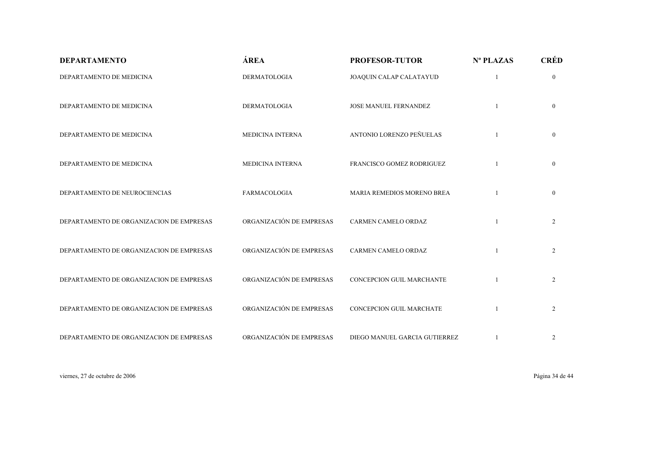| <b>DEPARTAMENTO</b>                      | ÁREA                     | <b>PROFESOR-TUTOR</b>            | Nº PLAZAS | <b>CRÉD</b>    |
|------------------------------------------|--------------------------|----------------------------------|-----------|----------------|
| DEPARTAMENTO DE MEDICINA                 | <b>DERMATOLOGIA</b>      | JOAQUIN CALAP CALATAYUD          |           | $\mathbf{0}$   |
| DEPARTAMENTO DE MEDICINA                 | <b>DERMATOLOGIA</b>      | JOSE MANUEL FERNANDEZ            |           | $\overline{0}$ |
| DEPARTAMENTO DE MEDICINA                 | MEDICINA INTERNA         | ANTONIO LORENZO PEÑUELAS         |           | $\overline{0}$ |
| DEPARTAMENTO DE MEDICINA                 | <b>MEDICINA INTERNA</b>  | FRANCISCO GOMEZ RODRIGUEZ        |           | $\mathbf{0}$   |
| DEPARTAMENTO DE NEUROCIENCIAS            | <b>FARMACOLOGIA</b>      | MARIA REMEDIOS MORENO BREA       |           | $\mathbf{0}$   |
| DEPARTAMENTO DE ORGANIZACION DE EMPRESAS | ORGANIZACIÓN DE EMPRESAS | CARMEN CAMELO ORDAZ              |           | $\overline{2}$ |
| DEPARTAMENTO DE ORGANIZACION DE EMPRESAS | ORGANIZACIÓN DE EMPRESAS | CARMEN CAMELO ORDAZ              |           | $\overline{2}$ |
| DEPARTAMENTO DE ORGANIZACION DE EMPRESAS | ORGANIZACIÓN DE EMPRESAS | <b>CONCEPCION GUIL MARCHANTE</b> |           | $\overline{2}$ |
| DEPARTAMENTO DE ORGANIZACION DE EMPRESAS | ORGANIZACIÓN DE EMPRESAS | CONCEPCION GUIL MARCHATE         |           | $\overline{2}$ |
| DEPARTAMENTO DE ORGANIZACION DE EMPRESAS | ORGANIZACIÓN DE EMPRESAS | DIEGO MANUEL GARCIA GUTIERREZ    |           | $\overline{2}$ |

viernes, 27 de octubre de 2006 Página 34 de 44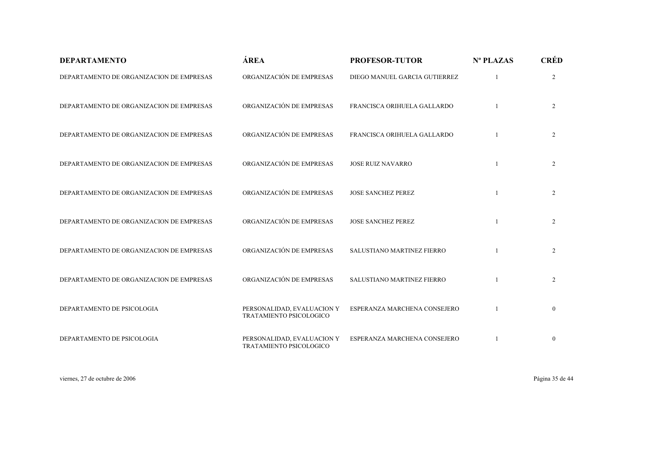| <b>DEPARTAMENTO</b>                      | ÁREA                                                  | <b>PROFESOR-TUTOR</b>             | Nº PLAZAS | <b>CRÉD</b>    |
|------------------------------------------|-------------------------------------------------------|-----------------------------------|-----------|----------------|
| DEPARTAMENTO DE ORGANIZACION DE EMPRESAS | ORGANIZACIÓN DE EMPRESAS                              | DIEGO MANUEL GARCIA GUTIERREZ     |           | $\overline{2}$ |
| DEPARTAMENTO DE ORGANIZACION DE EMPRESAS | ORGANIZACIÓN DE EMPRESAS                              | FRANCISCA ORIHUELA GALLARDO       |           | $\overline{2}$ |
| DEPARTAMENTO DE ORGANIZACION DE EMPRESAS | ORGANIZACIÓN DE EMPRESAS                              | FRANCISCA ORIHUELA GALLARDO       |           | $\overline{2}$ |
| DEPARTAMENTO DE ORGANIZACION DE EMPRESAS | ORGANIZACIÓN DE EMPRESAS                              | <b>JOSE RUIZ NAVARRO</b>          |           | $\overline{2}$ |
| DEPARTAMENTO DE ORGANIZACION DE EMPRESAS | ORGANIZACIÓN DE EMPRESAS                              | <b>JOSE SANCHEZ PEREZ</b>         | 1         | $\overline{2}$ |
| DEPARTAMENTO DE ORGANIZACION DE EMPRESAS | ORGANIZACIÓN DE EMPRESAS                              | <b>JOSE SANCHEZ PEREZ</b>         |           | $\overline{2}$ |
| DEPARTAMENTO DE ORGANIZACION DE EMPRESAS | ORGANIZACIÓN DE EMPRESAS                              | <b>SALUSTIANO MARTINEZ FIERRO</b> |           | $\overline{2}$ |
| DEPARTAMENTO DE ORGANIZACION DE EMPRESAS | ORGANIZACIÓN DE EMPRESAS                              | SALUSTIANO MARTINEZ FIERRO        |           | $\overline{2}$ |
| DEPARTAMENTO DE PSICOLOGIA               | PERSONALIDAD, EVALUACION Y<br>TRATAMIENTO PSICOLOGICO | ESPERANZA MARCHENA CONSEJERO      |           | $\mathbf{0}$   |
| DEPARTAMENTO DE PSICOLOGIA               | PERSONALIDAD, EVALUACION Y<br>TRATAMIENTO PSICOLOGICO | ESPERANZA MARCHENA CONSEJERO      |           | $\mathbf{0}$   |

viernes, 27 de octubre de 2006 Página 35 de 44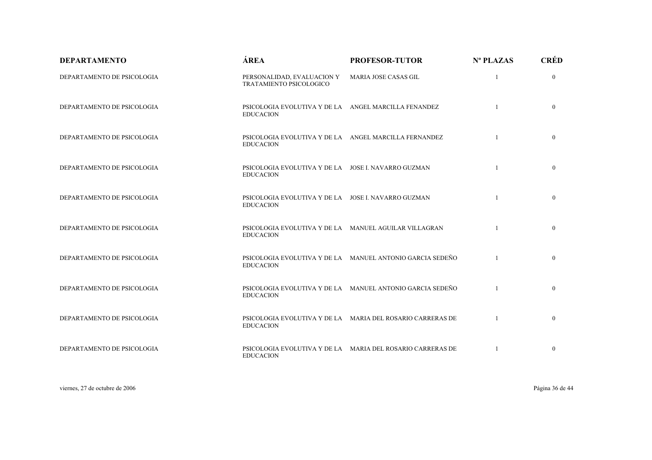| <b>DEPARTAMENTO</b>        | ÁREA                                                                      | <b>PROFESOR-TUTOR</b>                                      | Nº PLAZAS    | <b>CRÉD</b>    |
|----------------------------|---------------------------------------------------------------------------|------------------------------------------------------------|--------------|----------------|
| DEPARTAMENTO DE PSICOLOGIA | PERSONALIDAD, EVALUACION Y<br>TRATAMIENTO PSICOLOGICO                     | MARIA JOSE CASAS GIL                                       | $\mathbf{1}$ | $\Omega$       |
| DEPARTAMENTO DE PSICOLOGIA | PSICOLOGIA EVOLUTIVA Y DE LA ANGEL MARCILLA FENANDEZ<br><b>EDUCACION</b>  |                                                            |              | $\overline{0}$ |
| DEPARTAMENTO DE PSICOLOGIA | PSICOLOGIA EVOLUTIVA Y DE LA ANGEL MARCILLA FERNANDEZ<br><b>EDUCACION</b> |                                                            |              | $\overline{0}$ |
| DEPARTAMENTO DE PSICOLOGIA | PSICOLOGIA EVOLUTIVA Y DE LA JOSE I. NAVARRO GUZMAN<br><b>EDUCACION</b>   |                                                            |              | $\overline{0}$ |
| DEPARTAMENTO DE PSICOLOGIA | PSICOLOGIA EVOLUTIVA Y DE LA JOSE I. NAVARRO GUZMAN<br><b>EDUCACION</b>   |                                                            | $\mathbf{1}$ | $\overline{0}$ |
| DEPARTAMENTO DE PSICOLOGIA | PSICOLOGIA EVOLUTIVA Y DE LA MANUEL AGUILAR VILLAGRAN<br><b>EDUCACION</b> |                                                            |              | $\overline{0}$ |
| DEPARTAMENTO DE PSICOLOGIA | <b>EDUCACION</b>                                                          | PSICOLOGIA EVOLUTIVA Y DE LA MANUEL ANTONIO GARCIA SEDEÑO  |              | $\overline{0}$ |
| DEPARTAMENTO DE PSICOLOGIA | <b>EDUCACION</b>                                                          | PSICOLOGIA EVOLUTIVA Y DE LA MANUEL ANTONIO GARCIA SEDEÑO  |              | $\overline{0}$ |
| DEPARTAMENTO DE PSICOLOGIA | <b>EDUCACION</b>                                                          | PSICOLOGIA EVOLUTIVA Y DE LA MARIA DEL ROSARIO CARRERAS DE |              | $\overline{0}$ |
| DEPARTAMENTO DE PSICOLOGIA | <b>EDUCACION</b>                                                          | PSICOLOGIA EVOLUTIVA Y DE LA MARIA DEL ROSARIO CARRERAS DE |              | $\overline{0}$ |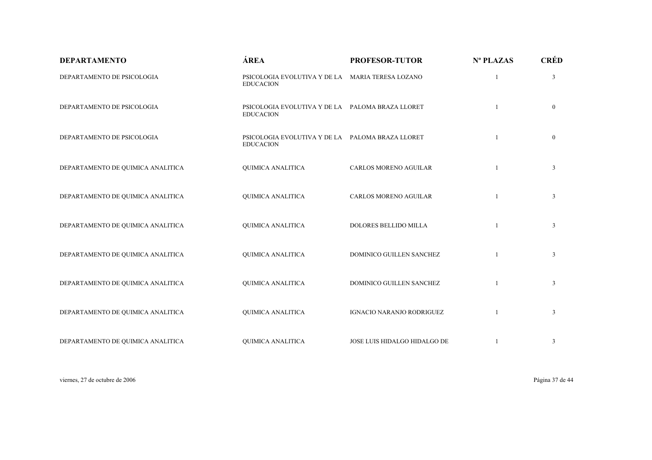| <b>DEPARTAMENTO</b>               | ÁREA                                                                 | <b>PROFESOR-TUTOR</b>        | Nº PLAZAS    | <b>CRÉD</b>    |
|-----------------------------------|----------------------------------------------------------------------|------------------------------|--------------|----------------|
| DEPARTAMENTO DE PSICOLOGIA        | PSICOLOGIA EVOLUTIVA Y DE LA MARIA TERESA LOZANO<br><b>EDUCACION</b> |                              |              | 3              |
| DEPARTAMENTO DE PSICOLOGIA        | PSICOLOGIA EVOLUTIVA Y DE LA PALOMA BRAZA LLORET<br><b>EDUCACION</b> |                              |              | $\overline{0}$ |
| DEPARTAMENTO DE PSICOLOGIA        | PSICOLOGIA EVOLUTIVA Y DE LA PALOMA BRAZA LLORET<br><b>EDUCACION</b> |                              |              | $\overline{0}$ |
| DEPARTAMENTO DE QUIMICA ANALITICA | <b>QUIMICA ANALITICA</b>                                             | CARLOS MORENO AGUILAR        | 1            | $\overline{3}$ |
| DEPARTAMENTO DE QUIMICA ANALITICA | <b>QUIMICA ANALITICA</b>                                             | CARLOS MORENO AGUILAR        | $\mathbf{1}$ | 3              |
| DEPARTAMENTO DE QUIMICA ANALITICA | <b>QUIMICA ANALITICA</b>                                             | DOLORES BELLIDO MILLA        |              | 3              |
| DEPARTAMENTO DE QUIMICA ANALITICA | <b>QUIMICA ANALITICA</b>                                             | DOMINICO GUILLEN SANCHEZ     |              | $\mathfrak{Z}$ |
| DEPARTAMENTO DE QUIMICA ANALITICA | <b>QUIMICA ANALITICA</b>                                             | DOMINICO GUILLEN SANCHEZ     | 1            | $\overline{3}$ |
| DEPARTAMENTO DE QUIMICA ANALITICA | <b>QUIMICA ANALITICA</b>                                             | IGNACIO NARANJO RODRIGUEZ    |              | 3              |
| DEPARTAMENTO DE QUIMICA ANALITICA | <b>QUIMICA ANALITICA</b>                                             | JOSE LUIS HIDALGO HIDALGO DE |              | 3              |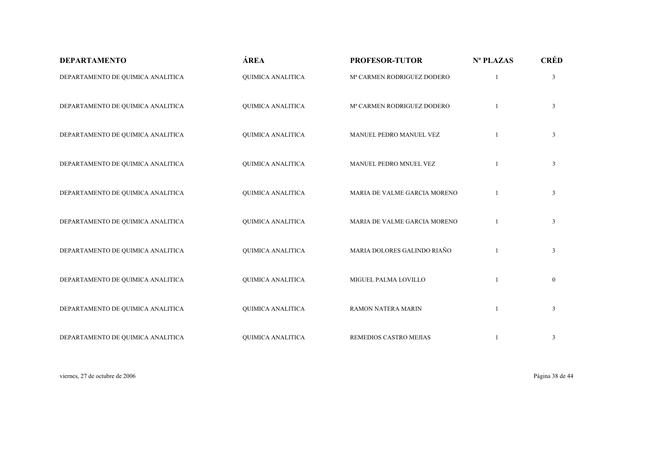| <b>DEPARTAMENTO</b>               | ÁREA                     | <b>PROFESOR-TUTOR</b>        | Nº PLAZAS      | <b>CRÉD</b>    |
|-----------------------------------|--------------------------|------------------------------|----------------|----------------|
| DEPARTAMENTO DE QUIMICA ANALITICA | <b>QUIMICA ANALITICA</b> | Mª CARMEN RODRIGUEZ DODERO   | 1              | $\mathfrak{Z}$ |
| DEPARTAMENTO DE QUIMICA ANALITICA | <b>QUIMICA ANALITICA</b> | Mª CARMEN RODRIGUEZ DODERO   |                | $\mathfrak{Z}$ |
| DEPARTAMENTO DE QUIMICA ANALITICA | <b>QUIMICA ANALITICA</b> | MANUEL PEDRO MANUEL VEZ      | $\mathbf{1}$   | $\mathfrak{Z}$ |
| DEPARTAMENTO DE QUIMICA ANALITICA | <b>QUIMICA ANALITICA</b> | MANUEL PEDRO MNUEL VEZ       |                | $\mathfrak{Z}$ |
| DEPARTAMENTO DE QUIMICA ANALITICA | <b>QUIMICA ANALITICA</b> | MARIA DE VALME GARCIA MORENO |                | $\mathfrak{Z}$ |
| DEPARTAMENTO DE QUIMICA ANALITICA | <b>QUIMICA ANALITICA</b> | MARIA DE VALME GARCIA MORENO |                | $\mathfrak{Z}$ |
| DEPARTAMENTO DE QUIMICA ANALITICA | QUIMICA ANALITICA        | MARIA DOLORES GALINDO RIAÑO  |                | $\mathfrak{Z}$ |
| DEPARTAMENTO DE QUIMICA ANALITICA | <b>QUIMICA ANALITICA</b> | MIGUEL PALMA LOVILLO         | $\overline{1}$ | $\mathbf{0}$   |
| DEPARTAMENTO DE QUIMICA ANALITICA | <b>QUIMICA ANALITICA</b> | RAMON NATERA MARIN           |                | $\mathfrak{Z}$ |
| DEPARTAMENTO DE QUIMICA ANALITICA | <b>QUIMICA ANALITICA</b> | REMEDIOS CASTRO MEJIAS       |                | $\mathfrak{Z}$ |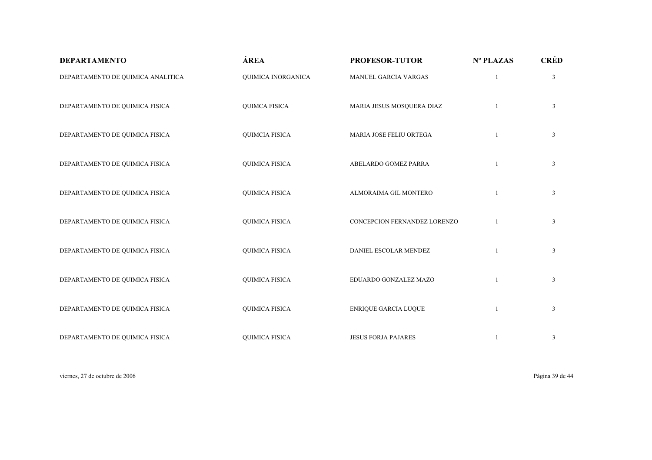| <b>DEPARTAMENTO</b>               | ÁREA                  | <b>PROFESOR-TUTOR</b>        | Nº PLAZAS    | <b>CRÉD</b>    |
|-----------------------------------|-----------------------|------------------------------|--------------|----------------|
| DEPARTAMENTO DE QUIMICA ANALITICA | QUIMICA INORGANICA    | MANUEL GARCIA VARGAS         | $\mathbf{1}$ | $\mathfrak{Z}$ |
| DEPARTAMENTO DE QUIMICA FISICA    | <b>QUIMCA FISICA</b>  | MARIA JESUS MOSQUERA DIAZ    |              | $\mathfrak{Z}$ |
| DEPARTAMENTO DE QUIMICA FISICA    | <b>QUIMCIA FISICA</b> | MARIA JOSE FELIU ORTEGA      | $\mathbf{1}$ | $\mathfrak{Z}$ |
| DEPARTAMENTO DE QUIMICA FISICA    | <b>QUIMICA FISICA</b> | ABELARDO GOMEZ PARRA         | $\mathbf{1}$ | $\mathfrak{Z}$ |
| DEPARTAMENTO DE QUIMICA FISICA    | <b>QUIMICA FISICA</b> | ALMORAIMA GIL MONTERO        | $\mathbf{1}$ | $\mathfrak{Z}$ |
| DEPARTAMENTO DE QUIMICA FISICA    | <b>QUIMICA FISICA</b> | CONCEPCION FERNANDEZ LORENZO |              | $\mathfrak{Z}$ |
| DEPARTAMENTO DE QUIMICA FISICA    | <b>QUIMICA FISICA</b> | DANIEL ESCOLAR MENDEZ        | 1            | $\mathfrak{Z}$ |
| DEPARTAMENTO DE QUIMICA FISICA    | <b>QUIMICA FISICA</b> | EDUARDO GONZALEZ MAZO        | 1            | $\mathfrak{Z}$ |
| DEPARTAMENTO DE QUIMICA FISICA    | <b>QUIMICA FISICA</b> | <b>ENRIQUE GARCIA LUQUE</b>  | 1            | $\mathfrak{Z}$ |
| DEPARTAMENTO DE QUIMICA FISICA    | <b>QUIMICA FISICA</b> | <b>JESUS FORJA PAJARES</b>   |              | 3              |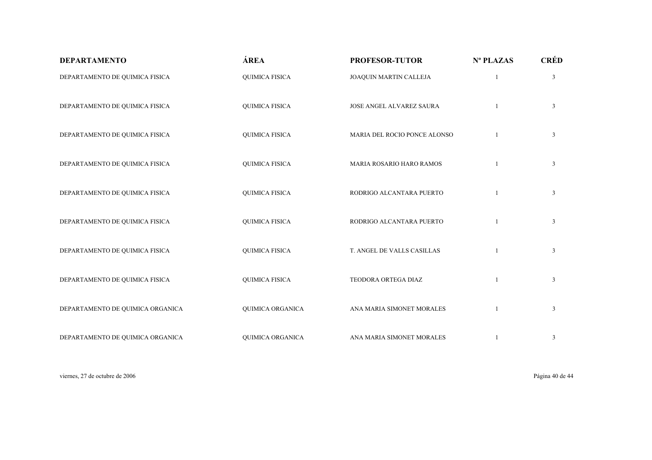| <b>DEPARTAMENTO</b>              | ÁREA                  | <b>PROFESOR-TUTOR</b>        | Nº PLAZAS    | <b>CRÉD</b>    |
|----------------------------------|-----------------------|------------------------------|--------------|----------------|
| DEPARTAMENTO DE QUIMICA FISICA   | <b>QUIMICA FISICA</b> | JOAQUIN MARTIN CALLEJA       | $\mathbf{1}$ | $\mathfrak{Z}$ |
| DEPARTAMENTO DE QUIMICA FISICA   | <b>QUIMICA FISICA</b> | JOSE ANGEL ALVAREZ SAURA     |              | $\mathfrak{Z}$ |
| DEPARTAMENTO DE QUIMICA FISICA   | <b>QUIMICA FISICA</b> | MARIA DEL ROCIO PONCE ALONSO | 1            | $\mathfrak{Z}$ |
| DEPARTAMENTO DE QUIMICA FISICA   | <b>QUIMICA FISICA</b> | MARIA ROSARIO HARO RAMOS     | $\mathbf{1}$ | $\mathfrak{Z}$ |
| DEPARTAMENTO DE QUIMICA FISICA   | <b>QUIMICA FISICA</b> | RODRIGO ALCANTARA PUERTO     | 1            | $\mathfrak{Z}$ |
| DEPARTAMENTO DE QUIMICA FISICA   | <b>QUIMICA FISICA</b> | RODRIGO ALCANTARA PUERTO     | 1            | $\mathfrak{Z}$ |
| DEPARTAMENTO DE QUIMICA FISICA   | <b>QUIMICA FISICA</b> | T. ANGEL DE VALLS CASILLAS   | 1            | $\mathfrak{Z}$ |
| DEPARTAMENTO DE QUIMICA FISICA   | <b>QUIMICA FISICA</b> | TEODORA ORTEGA DIAZ          | 1            | $\mathfrak{Z}$ |
| DEPARTAMENTO DE QUIMICA ORGANICA | QUIMICA ORGANICA      | ANA MARIA SIMONET MORALES    |              | $\mathfrak{Z}$ |
| DEPARTAMENTO DE QUIMICA ORGANICA | QUIMICA ORGANICA      | ANA MARIA SIMONET MORALES    |              | $\mathfrak{Z}$ |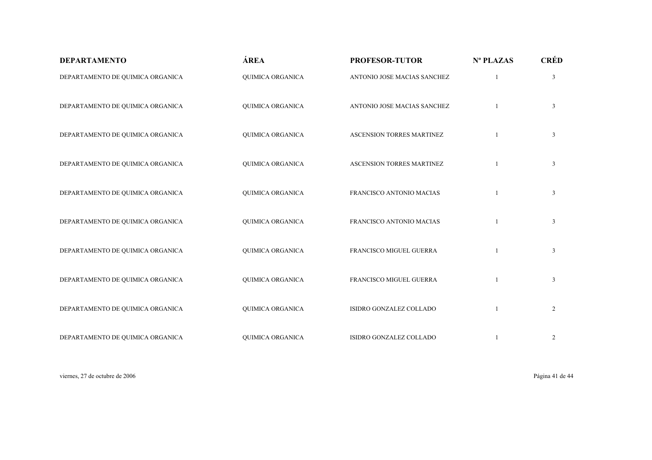| <b>DEPARTAMENTO</b>              | ÁREA                    | <b>PROFESOR-TUTOR</b>       | Nº PLAZAS    | <b>CRÉD</b>    |
|----------------------------------|-------------------------|-----------------------------|--------------|----------------|
| DEPARTAMENTO DE QUIMICA ORGANICA | QUIMICA ORGANICA        | ANTONIO JOSE MACIAS SANCHEZ | 1            | $\mathfrak{Z}$ |
| DEPARTAMENTO DE QUIMICA ORGANICA | <b>QUIMICA ORGANICA</b> | ANTONIO JOSE MACIAS SANCHEZ |              | $\mathfrak{Z}$ |
| DEPARTAMENTO DE QUIMICA ORGANICA | <b>QUIMICA ORGANICA</b> | ASCENSION TORRES MARTINEZ   |              | $\mathfrak{Z}$ |
| DEPARTAMENTO DE QUIMICA ORGANICA | QUIMICA ORGANICA        | ASCENSION TORRES MARTINEZ   |              | $\mathfrak{Z}$ |
| DEPARTAMENTO DE QUIMICA ORGANICA | QUIMICA ORGANICA        | FRANCISCO ANTONIO MACIAS    |              | $\mathfrak{Z}$ |
| DEPARTAMENTO DE QUIMICA ORGANICA | QUIMICA ORGANICA        | FRANCISCO ANTONIO MACIAS    |              | 3              |
| DEPARTAMENTO DE QUIMICA ORGANICA | QUIMICA ORGANICA        | FRANCISCO MIGUEL GUERRA     | 1            | $\mathfrak{Z}$ |
| DEPARTAMENTO DE QUIMICA ORGANICA | QUIMICA ORGANICA        | FRANCISCO MIGUEL GUERRA     |              | $\mathfrak{Z}$ |
| DEPARTAMENTO DE QUIMICA ORGANICA | QUIMICA ORGANICA        | ISIDRO GONZALEZ COLLADO     | $\mathbf{1}$ | $\overline{2}$ |
| DEPARTAMENTO DE QUIMICA ORGANICA | <b>QUIMICA ORGANICA</b> | ISIDRO GONZALEZ COLLADO     |              | $\overline{c}$ |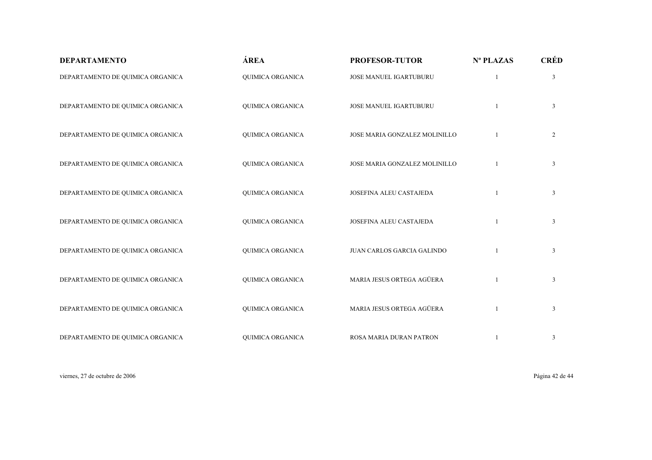| <b>DEPARTAMENTO</b>              | ÁREA                    | <b>PROFESOR-TUTOR</b>         | Nº PLAZAS      | <b>CRÉD</b>    |
|----------------------------------|-------------------------|-------------------------------|----------------|----------------|
| DEPARTAMENTO DE QUIMICA ORGANICA | <b>QUIMICA ORGANICA</b> | JOSE MANUEL IGARTUBURU        | 1              | $\mathfrak{Z}$ |
| DEPARTAMENTO DE QUIMICA ORGANICA | <b>QUIMICA ORGANICA</b> | JOSE MANUEL IGARTUBURU        |                | $\mathfrak{Z}$ |
| DEPARTAMENTO DE QUIMICA ORGANICA | QUIMICA ORGANICA        | JOSE MARIA GONZALEZ MOLINILLO | $\overline{1}$ | $\overline{2}$ |
| DEPARTAMENTO DE QUIMICA ORGANICA | QUIMICA ORGANICA        | JOSE MARIA GONZALEZ MOLINILLO |                | 3              |
| DEPARTAMENTO DE QUIMICA ORGANICA | QUIMICA ORGANICA        | JOSEFINA ALEU CASTAJEDA       | $\mathbf{1}$   | $\mathfrak{Z}$ |
| DEPARTAMENTO DE QUIMICA ORGANICA | QUIMICA ORGANICA        | JOSEFINA ALEU CASTAJEDA       |                | $\mathfrak{Z}$ |
| DEPARTAMENTO DE QUIMICA ORGANICA | QUIMICA ORGANICA        | JUAN CARLOS GARCIA GALINDO    | 1              | $\mathfrak{Z}$ |
| DEPARTAMENTO DE QUIMICA ORGANICA | QUIMICA ORGANICA        | MARIA JESUS ORTEGA AGÜERA     |                | 3              |
| DEPARTAMENTO DE QUIMICA ORGANICA | <b>QUIMICA ORGANICA</b> | MARIA JESUS ORTEGA AGÜERA     | $\mathbf{1}$   | $\mathfrak{Z}$ |
| DEPARTAMENTO DE QUIMICA ORGANICA | QUIMICA ORGANICA        | ROSA MARIA DURAN PATRON       |                | 3              |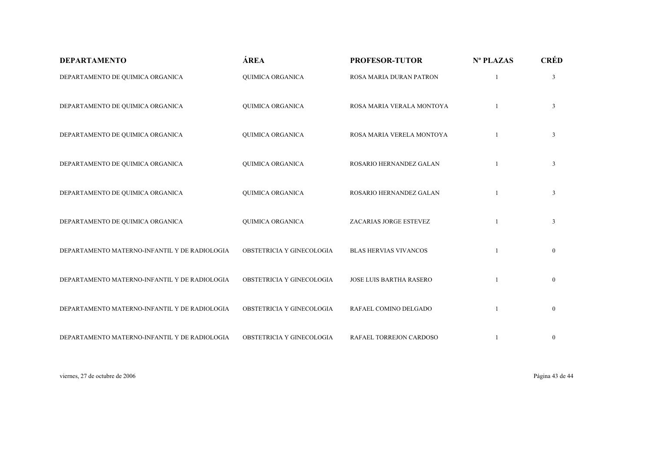| <b>DEPARTAMENTO</b>                           | ÁREA                      | <b>PROFESOR-TUTOR</b>          | Nº PLAZAS | <b>CRÉD</b>    |
|-----------------------------------------------|---------------------------|--------------------------------|-----------|----------------|
| DEPARTAMENTO DE QUIMICA ORGANICA              | QUIMICA ORGANICA          | ROSA MARIA DURAN PATRON        |           | 3              |
| DEPARTAMENTO DE QUIMICA ORGANICA              | QUIMICA ORGANICA          | ROSA MARIA VERALA MONTOYA      |           | $\mathfrak{Z}$ |
| DEPARTAMENTO DE QUIMICA ORGANICA              | QUIMICA ORGANICA          | ROSA MARIA VERELA MONTOYA      |           | $\mathfrak{Z}$ |
| DEPARTAMENTO DE QUIMICA ORGANICA              | QUIMICA ORGANICA          | ROSARIO HERNANDEZ GALAN        |           | 3              |
| DEPARTAMENTO DE QUIMICA ORGANICA              | QUIMICA ORGANICA          | ROSARIO HERNANDEZ GALAN        |           | 3              |
| DEPARTAMENTO DE QUIMICA ORGANICA              | QUIMICA ORGANICA          | ZACARIAS JORGE ESTEVEZ         |           | 3              |
| DEPARTAMENTO MATERNO-INFANTIL Y DE RADIOLOGIA | OBSTETRICIA Y GINECOLOGIA | <b>BLAS HERVIAS VIVANCOS</b>   |           | $\mathbf{0}$   |
| DEPARTAMENTO MATERNO-INFANTIL Y DE RADIOLOGIA | OBSTETRICIA Y GINECOLOGIA | <b>JOSE LUIS BARTHA RASERO</b> |           | $\mathbf{0}$   |
| DEPARTAMENTO MATERNO-INFANTIL Y DE RADIOLOGIA | OBSTETRICIA Y GINECOLOGIA | RAFAEL COMINO DELGADO          |           | $\mathbf{0}$   |
| DEPARTAMENTO MATERNO-INFANTIL Y DE RADIOLOGIA | OBSTETRICIA Y GINECOLOGIA | RAFAEL TORREJON CARDOSO        |           | $\bf{0}$       |

viernes, 27 de octubre de 2006 Página 43 de 44